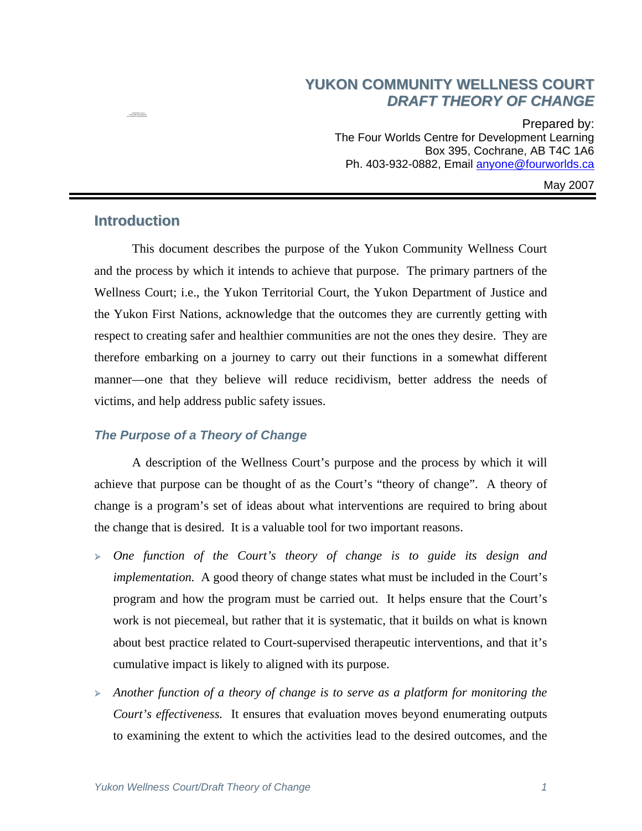## **YUKON COMMUNITY WELLNESS COURT** *DRAFT THEORY OF CHANGE*

Prepared by: The Four Worlds Centre for Development Learning Box 395, Cochrane, AB T4C 1A6 Ph. 403-932-0882, Email [anyone@fourworlds.ca](mailto:anyone@fourworlds.ca)

May 2007

## **Introduction**

 $T^{\mu\nu}$ QuickTime™ and a  $T^{\mu\nu}$  (LZW) decompressor

 This document describes the purpose of the Yukon Community Wellness Court and the process by which it intends to achieve that purpose. The primary partners of the Wellness Court; i.e., the Yukon Territorial Court, the Yukon Department of Justice and the Yukon First Nations, acknowledge that the outcomes they are currently getting with respect to creating safer and healthier communities are not the ones they desire. They are therefore embarking on a journey to carry out their functions in a somewhat different manner—one that they believe will reduce recidivism, better address the needs of victims, and help address public safety issues.

## *The Purpose of a Theory of Change*

A description of the Wellness Court's purpose and the process by which it will achieve that purpose can be thought of as the Court's "theory of change". A theory of change is a program's set of ideas about what interventions are required to bring about the change that is desired. It is a valuable tool for two important reasons.

- <sup>¾</sup> *One function of the Court's theory of change is to guide its design and implementation.* A good theory of change states what must be included in the Court's program and how the program must be carried out. It helps ensure that the Court's work is not piecemeal, but rather that it is systematic, that it builds on what is known about best practice related to Court-supervised therapeutic interventions, and that it's cumulative impact is likely to aligned with its purpose.
- <sup>¾</sup> *Another function of a theory of change is to serve as a platform for monitoring the Court's effectiveness.* It ensures that evaluation moves beyond enumerating outputs to examining the extent to which the activities lead to the desired outcomes, and the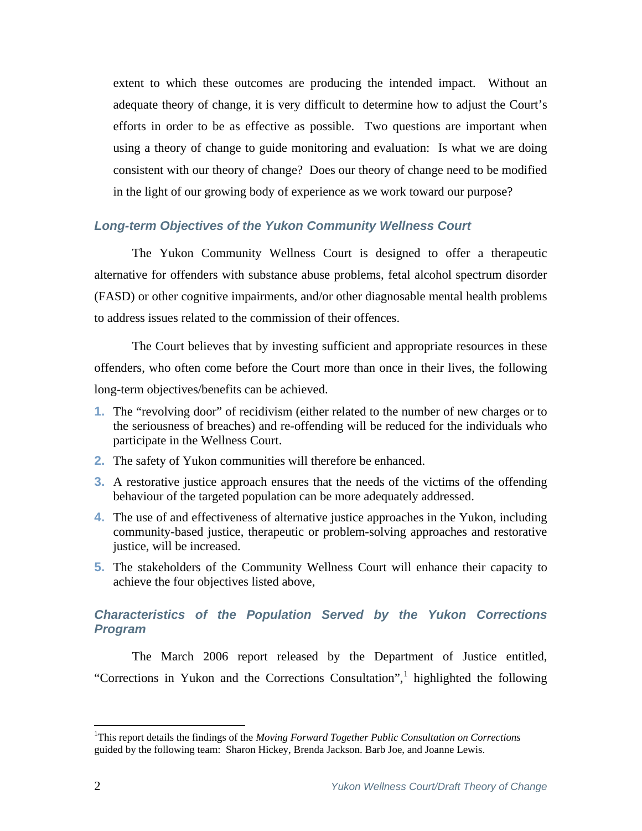extent to which these outcomes are producing the intended impact. Without an adequate theory of change, it is very difficult to determine how to adjust the Court's efforts in order to be as effective as possible. Two questions are important when using a theory of change to guide monitoring and evaluation: Is what we are doing consistent with our theory of change? Does our theory of change need to be modified in the light of our growing body of experience as we work toward our purpose?

### *Long-term Objectives of the Yukon Community Wellness Court*

The Yukon Community Wellness Court is designed to offer a therapeutic alternative for offenders with substance abuse problems, fetal alcohol spectrum disorder (FASD) or other cognitive impairments, and/or other diagnosable mental health problems to address issues related to the commission of their offences.

 The Court believes that by investing sufficient and appropriate resources in these offenders, who often come before the Court more than once in their lives, the following long-term objectives/benefits can be achieved.

- **1.** The "revolving door" of recidivism (either related to the number of new charges or to the seriousness of breaches) and re-offending will be reduced for the individuals who participate in the Wellness Court.
- **2.** The safety of Yukon communities will therefore be enhanced.
- **3.** A restorative justice approach ensures that the needs of the victims of the offending behaviour of the targeted population can be more adequately addressed.
- **4.** The use of and effectiveness of alternative justice approaches in the Yukon, including community-based justice, therapeutic or problem-solving approaches and restorative justice, will be increased.
- **5.** The stakeholders of the Community Wellness Court will enhance their capacity to achieve the four objectives listed above,

## *Characteristics of the Population Served by the Yukon Corrections Program*

The March 2006 report released by the Department of Justice entitled, "Corrections in Yukon and the Corrections Consultation",<sup>[1](#page-1-0)</sup> highlighted the following

 $\overline{a}$ 

<span id="page-1-0"></span><sup>&</sup>lt;sup>1</sup>This report details the findings of the *Moving Forward Together Public Consultation on Corrections* guided by the following team: Sharon Hickey, Brenda Jackson. Barb Joe, and Joanne Lewis.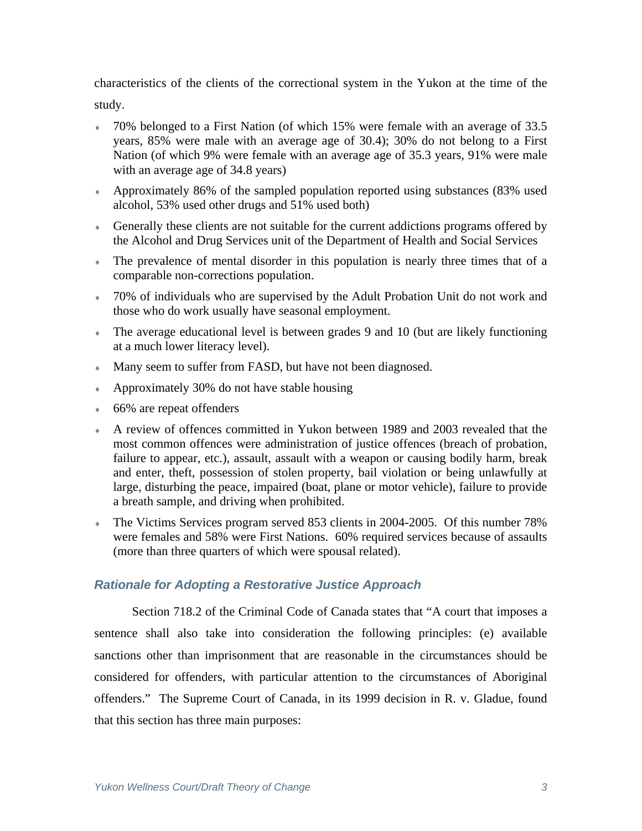characteristics of the clients of the correctional system in the Yukon at the time of the study.

- 70% belonged to a First Nation (of which 15% were female with an average of 33.5 years, 85% were male with an average age of 30.4); 30% do not belong to a First Nation (of which 9% were female with an average age of 35.3 years, 91% were male with an average age of 34.8 years)
- ♦ Approximately 86% of the sampled population reported using substances (83% used alcohol, 53% used other drugs and 51% used both)
- ♦ Generally these clients are not suitable for the current addictions programs offered by the Alcohol and Drug Services unit of the Department of Health and Social Services
- ♦ The prevalence of mental disorder in this population is nearly three times that of a comparable non-corrections population.
- ♦ 70% of individuals who are supervised by the Adult Probation Unit do not work and those who do work usually have seasonal employment.
- $\bullet$  The average educational level is between grades 9 and 10 (but are likely functioning at a much lower literacy level).
- Many seem to suffer from FASD, but have not been diagnosed.
- ♦ Approximately 30% do not have stable housing
- $\bullet$  66% are repeat offenders
- ♦ A review of offences committed in Yukon between 1989 and 2003 revealed that the most common offences were administration of justice offences (breach of probation, failure to appear, etc.), assault, assault with a weapon or causing bodily harm, break and enter, theft, possession of stolen property, bail violation or being unlawfully at large, disturbing the peace, impaired (boat, plane or motor vehicle), failure to provide a breath sample, and driving when prohibited.
- ♦ The Victims Services program served 853 clients in 2004-2005. Of this number 78% were females and 58% were First Nations. 60% required services because of assaults (more than three quarters of which were spousal related).

## *Rationale for Adopting a Restorative Justice Approach*

Section 718.2 of the Criminal Code of Canada states that "A court that imposes a sentence shall also take into consideration the following principles: (e) available sanctions other than imprisonment that are reasonable in the circumstances should be considered for offenders, with particular attention to the circumstances of Aboriginal offenders." The Supreme Court of Canada, in its 1999 decision in R. v. Gladue, found that this section has three main purposes: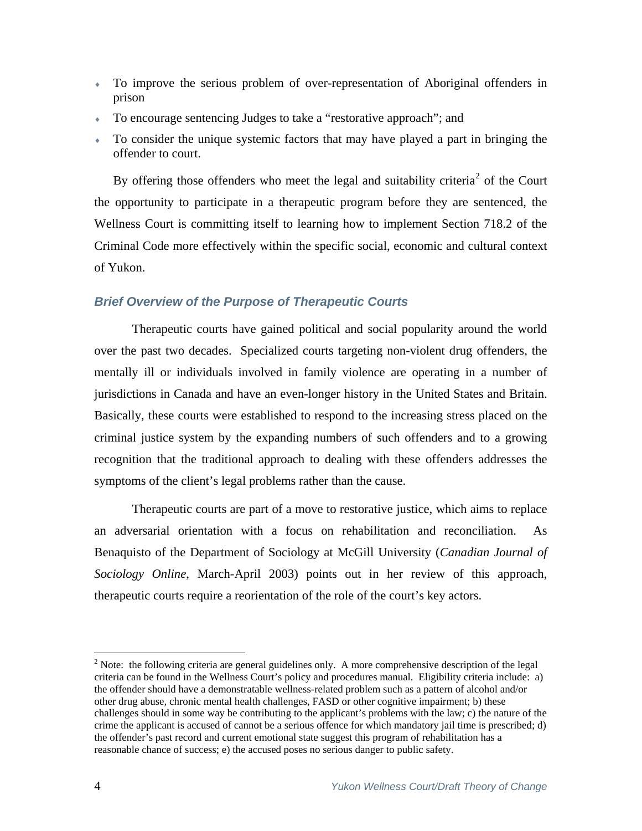- ♦ To improve the serious problem of over-representation of Aboriginal offenders in prison
- ♦ To encourage sentencing Judges to take a "restorative approach"; and
- ♦ To consider the unique systemic factors that may have played a part in bringing the offender to court.

By offering those offenders who meet the legal and suitability criteria<sup>[2](#page-3-0)</sup> of the Court the opportunity to participate in a therapeutic program before they are sentenced, the Wellness Court is committing itself to learning how to implement Section 718.2 of the Criminal Code more effectively within the specific social, economic and cultural context of Yukon.

#### *Brief Overview of the Purpose of Therapeutic Courts*

Therapeutic courts have gained political and social popularity around the world over the past two decades. Specialized courts targeting non-violent drug offenders, the mentally ill or individuals involved in family violence are operating in a number of jurisdictions in Canada and have an even-longer history in the United States and Britain. Basically, these courts were established to respond to the increasing stress placed on the criminal justice system by the expanding numbers of such offenders and to a growing recognition that the traditional approach to dealing with these offenders addresses the symptoms of the client's legal problems rather than the cause.

Therapeutic courts are part of a move to restorative justice, which aims to replace an adversarial orientation with a focus on rehabilitation and reconciliation. As Benaquisto of the Department of Sociology at McGill University (*Canadian Journal of Sociology Online*, March-April 2003) points out in her review of this approach, therapeutic courts require a reorientation of the role of the court's key actors.

 $\overline{a}$ 

<span id="page-3-0"></span><sup>&</sup>lt;sup>2</sup> Note: the following criteria are general guidelines only. A more comprehensive description of the legal criteria can be found in the Wellness Court's policy and procedures manual. Eligibility criteria include: a) the offender should have a demonstratable wellness-related problem such as a pattern of alcohol and/or other drug abuse, chronic mental health challenges, FASD or other cognitive impairment; b) these challenges should in some way be contributing to the applicant's problems with the law; c) the nature of the crime the applicant is accused of cannot be a serious offence for which mandatory jail time is prescribed; d) the offender's past record and current emotional state suggest this program of rehabilitation has a reasonable chance of success; e) the accused poses no serious danger to public safety.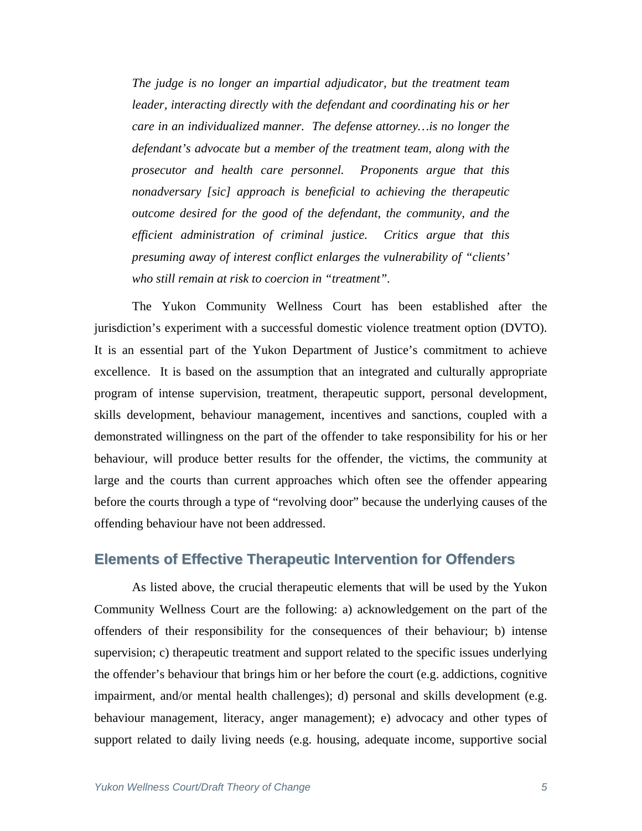*The judge is no longer an impartial adjudicator, but the treatment team leader, interacting directly with the defendant and coordinating his or her care in an individualized manner. The defense attorney…is no longer the defendant's advocate but a member of the treatment team, along with the prosecutor and health care personnel. Proponents argue that this nonadversary [sic] approach is beneficial to achieving the therapeutic outcome desired for the good of the defendant, the community, and the efficient administration of criminal justice. Critics argue that this presuming away of interest conflict enlarges the vulnerability of "clients' who still remain at risk to coercion in "treatment".* 

The Yukon Community Wellness Court has been established after the jurisdiction's experiment with a successful domestic violence treatment option (DVTO). It is an essential part of the Yukon Department of Justice's commitment to achieve excellence. It is based on the assumption that an integrated and culturally appropriate program of intense supervision, treatment, therapeutic support, personal development, skills development, behaviour management, incentives and sanctions, coupled with a demonstrated willingness on the part of the offender to take responsibility for his or her behaviour, will produce better results for the offender, the victims, the community at large and the courts than current approaches which often see the offender appearing before the courts through a type of "revolving door" because the underlying causes of the offending behaviour have not been addressed.

## **Elements of Effective Therapeutic Intervention for Offenders**

As listed above, the crucial therapeutic elements that will be used by the Yukon Community Wellness Court are the following: a) acknowledgement on the part of the offenders of their responsibility for the consequences of their behaviour; b) intense supervision; c) therapeutic treatment and support related to the specific issues underlying the offender's behaviour that brings him or her before the court (e.g. addictions, cognitive impairment, and/or mental health challenges); d) personal and skills development (e.g. behaviour management, literacy, anger management); e) advocacy and other types of support related to daily living needs (e.g. housing, adequate income, supportive social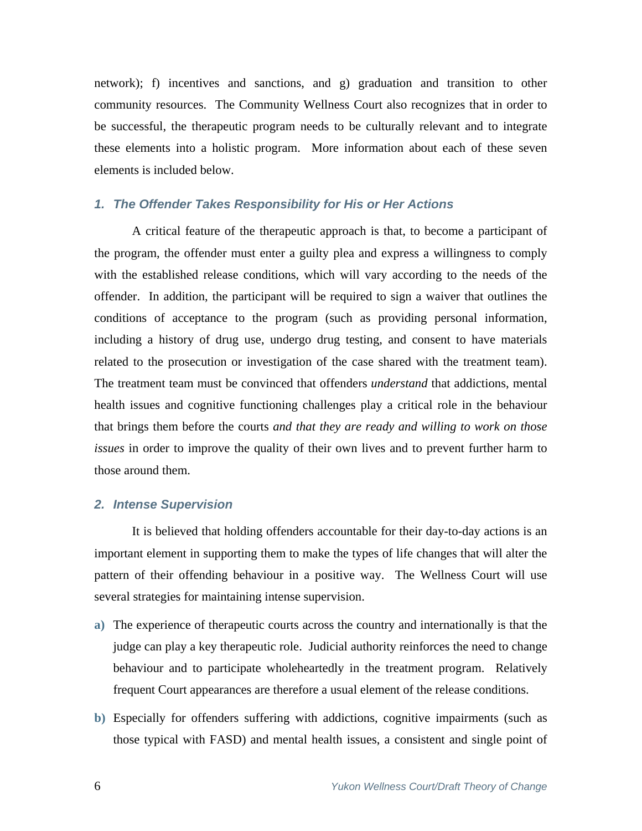network); f) incentives and sanctions, and g) graduation and transition to other community resources. The Community Wellness Court also recognizes that in order to be successful, the therapeutic program needs to be culturally relevant and to integrate these elements into a holistic program. More information about each of these seven elements is included below.

## *1. The Offender Takes Responsibility for His or Her Actions*

A critical feature of the therapeutic approach is that, to become a participant of the program, the offender must enter a guilty plea and express a willingness to comply with the established release conditions, which will vary according to the needs of the offender. In addition, the participant will be required to sign a waiver that outlines the conditions of acceptance to the program (such as providing personal information, including a history of drug use, undergo drug testing, and consent to have materials related to the prosecution or investigation of the case shared with the treatment team). The treatment team must be convinced that offenders *understand* that addictions, mental health issues and cognitive functioning challenges play a critical role in the behaviour that brings them before the courts *and that they are ready and willing to work on those issues* in order to improve the quality of their own lives and to prevent further harm to those around them.

#### *2. Intense Supervision*

It is believed that holding offenders accountable for their day-to-day actions is an important element in supporting them to make the types of life changes that will alter the pattern of their offending behaviour in a positive way. The Wellness Court will use several strategies for maintaining intense supervision.

- **a)** The experience of therapeutic courts across the country and internationally is that the judge can play a key therapeutic role. Judicial authority reinforces the need to change behaviour and to participate wholeheartedly in the treatment program. Relatively frequent Court appearances are therefore a usual element of the release conditions.
- **b)** Especially for offenders suffering with addictions, cognitive impairments (such as those typical with FASD) and mental health issues, a consistent and single point of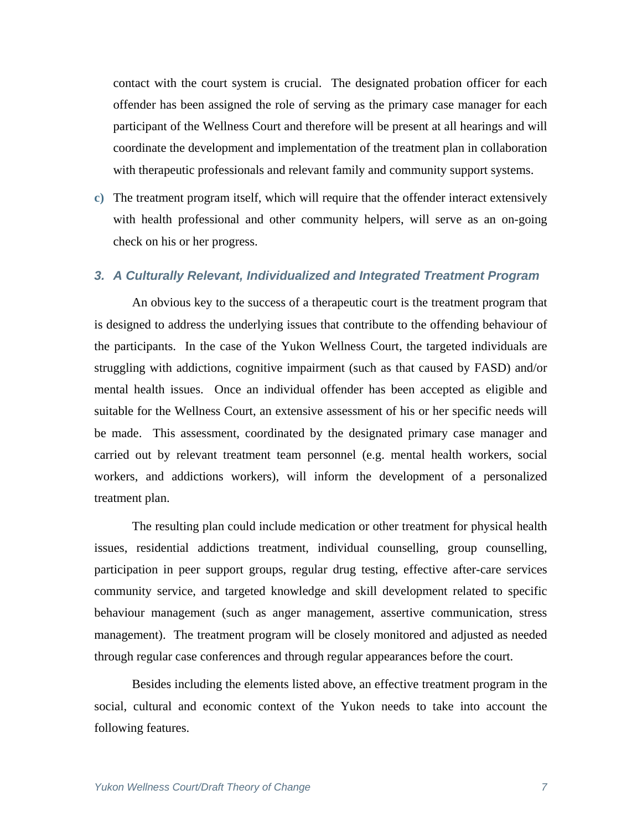contact with the court system is crucial. The designated probation officer for each offender has been assigned the role of serving as the primary case manager for each participant of the Wellness Court and therefore will be present at all hearings and will coordinate the development and implementation of the treatment plan in collaboration with therapeutic professionals and relevant family and community support systems.

**c)** The treatment program itself, which will require that the offender interact extensively with health professional and other community helpers, will serve as an on-going check on his or her progress.

#### *3. A Culturally Relevant, Individualized and Integrated Treatment Program*

An obvious key to the success of a therapeutic court is the treatment program that is designed to address the underlying issues that contribute to the offending behaviour of the participants. In the case of the Yukon Wellness Court, the targeted individuals are struggling with addictions, cognitive impairment (such as that caused by FASD) and/or mental health issues. Once an individual offender has been accepted as eligible and suitable for the Wellness Court, an extensive assessment of his or her specific needs will be made. This assessment, coordinated by the designated primary case manager and carried out by relevant treatment team personnel (e.g. mental health workers, social workers, and addictions workers), will inform the development of a personalized treatment plan.

The resulting plan could include medication or other treatment for physical health issues, residential addictions treatment, individual counselling, group counselling, participation in peer support groups, regular drug testing, effective after-care services community service, and targeted knowledge and skill development related to specific behaviour management (such as anger management, assertive communication, stress management). The treatment program will be closely monitored and adjusted as needed through regular case conferences and through regular appearances before the court.

Besides including the elements listed above, an effective treatment program in the social, cultural and economic context of the Yukon needs to take into account the following features.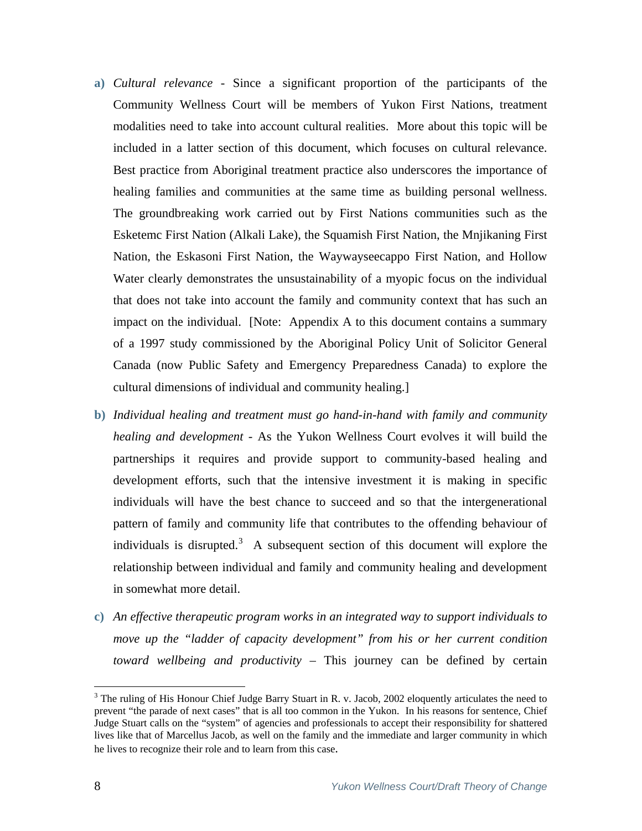- **a)** *Cultural relevance* Since a significant proportion of the participants of the Community Wellness Court will be members of Yukon First Nations, treatment modalities need to take into account cultural realities. More about this topic will be included in a latter section of this document, which focuses on cultural relevance. Best practice from Aboriginal treatment practice also underscores the importance of healing families and communities at the same time as building personal wellness. The groundbreaking work carried out by First Nations communities such as the Esketemc First Nation (Alkali Lake), the Squamish First Nation, the Mnjikaning First Nation, the Eskasoni First Nation, the Waywayseecappo First Nation, and Hollow Water clearly demonstrates the unsustainability of a myopic focus on the individual that does not take into account the family and community context that has such an impact on the individual. [Note: Appendix A to this document contains a summary of a 1997 study commissioned by the Aboriginal Policy Unit of Solicitor General Canada (now Public Safety and Emergency Preparedness Canada) to explore the cultural dimensions of individual and community healing.]
- **b)** *Individual healing and treatment must go hand-in-hand with family and community healing and development* - As the Yukon Wellness Court evolves it will build the partnerships it requires and provide support to community-based healing and development efforts, such that the intensive investment it is making in specific individuals will have the best chance to succeed and so that the intergenerational pattern of family and community life that contributes to the offending behaviour of individuals is disrupted.<sup>[3](#page-7-0)</sup> A subsequent section of this document will explore the relationship between individual and family and community healing and development in somewhat more detail.
- **c)** *An effective therapeutic program works in an integrated way to support individuals to move up the "ladder of capacity development" from his or her current condition toward wellbeing and productivity* – This journey can be defined by certain

<span id="page-7-0"></span><sup>&</sup>lt;sup>3</sup> The ruling of His Honour Chief Judge Barry Stuart in R. v. Jacob, 2002 eloquently articulates the need to prevent "the parade of next cases" that is all too common in the Yukon. In his reasons for sentence, Chief Judge Stuart calls on the "system" of agencies and professionals to accept their responsibility for shattered lives like that of Marcellus Jacob, as well on the family and the immediate and larger community in which he lives to recognize their role and to learn from this case.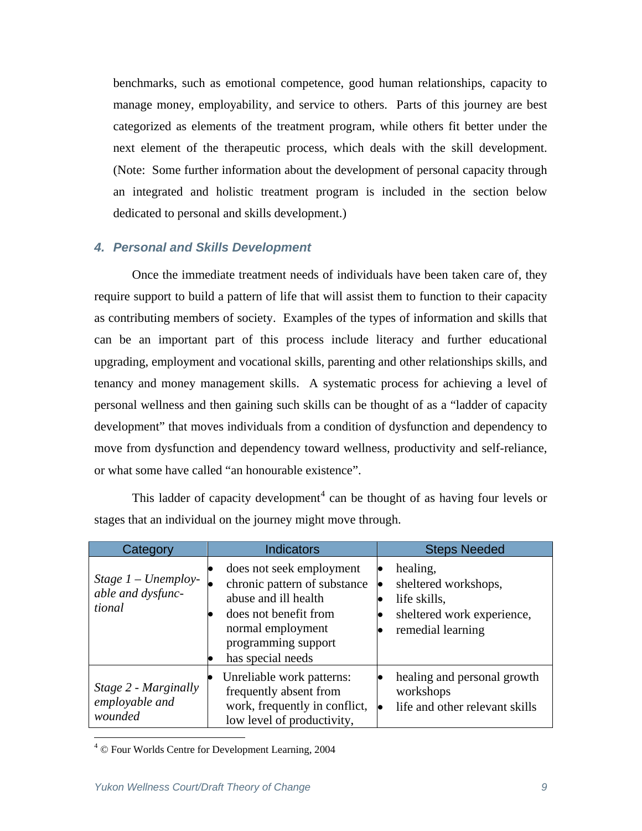benchmarks, such as emotional competence, good human relationships, capacity to manage money, employability, and service to others. Parts of this journey are best categorized as elements of the treatment program, while others fit better under the next element of the therapeutic process, which deals with the skill development. (Note: Some further information about the development of personal capacity through an integrated and holistic treatment program is included in the section below dedicated to personal and skills development.)

## *4. Personal and Skills Development*

Once the immediate treatment needs of individuals have been taken care of, they require support to build a pattern of life that will assist them to function to their capacity as contributing members of society. Examples of the types of information and skills that can be an important part of this process include literacy and further educational upgrading, employment and vocational skills, parenting and other relationships skills, and tenancy and money management skills. A systematic process for achieving a level of personal wellness and then gaining such skills can be thought of as a "ladder of capacity development" that moves individuals from a condition of dysfunction and dependency to move from dysfunction and dependency toward wellness, productivity and self-reliance, or what some have called "an honourable existence".

| Category                                             | <b>Indicators</b>                                                                                                                                                          | <b>Steps Needed</b>                                                                                 |
|------------------------------------------------------|----------------------------------------------------------------------------------------------------------------------------------------------------------------------------|-----------------------------------------------------------------------------------------------------|
| Stage $1$ – Unemploy-<br>able and dysfunc-<br>tional | does not seek employment<br>chronic pattern of substance<br>abuse and ill health<br>does not benefit from<br>normal employment<br>programming support<br>has special needs | healing,<br>sheltered workshops,<br>life skills,<br>sheltered work experience,<br>remedial learning |
| Stage 2 - Marginally<br>employable and<br>wounded    | Unreliable work patterns:<br>frequently absent from<br>work, frequently in conflict,<br>low level of productivity,                                                         | healing and personal growth<br>workshops<br>life and other relevant skills                          |

This ladder of capacity development<sup>[4](#page-8-0)</sup> can be thought of as having four levels or stages that an individual on the journey might move through.

 $\overline{a}$ 

<span id="page-8-0"></span><sup>4</sup> © Four Worlds Centre for Development Learning, 2004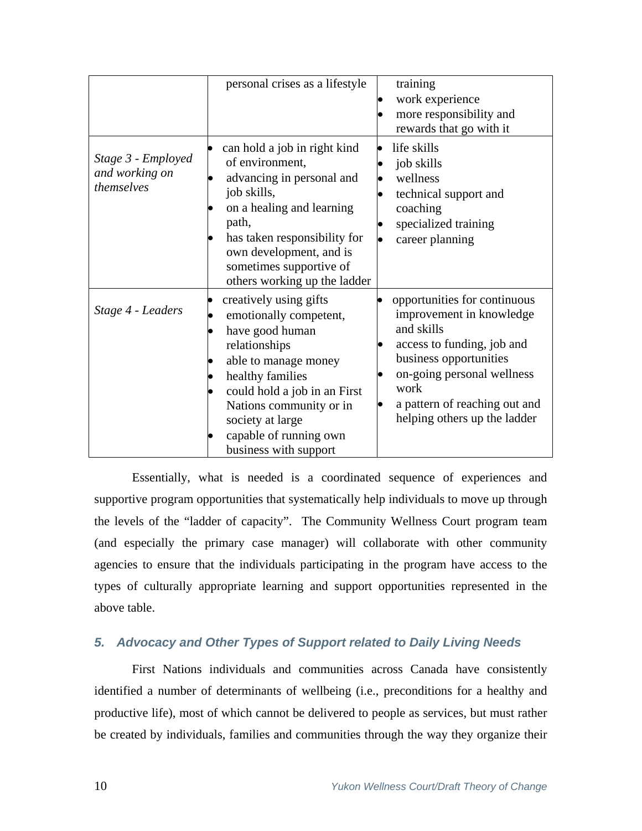|                                                    | personal crises as a lifestyle                                                                                                                                                                                                                                     | training<br>work experience<br>more responsibility and<br>rewards that go with it                                                                                                                                                     |
|----------------------------------------------------|--------------------------------------------------------------------------------------------------------------------------------------------------------------------------------------------------------------------------------------------------------------------|---------------------------------------------------------------------------------------------------------------------------------------------------------------------------------------------------------------------------------------|
| Stage 3 - Employed<br>and working on<br>themselves | can hold a job in right kind<br>of environment,<br>advancing in personal and<br>job skills,<br>on a healing and learning<br>path,<br>has taken responsibility for<br>own development, and is<br>sometimes supportive of<br>others working up the ladder            | life skills<br>job skills<br>wellness<br>technical support and<br>coaching<br>specialized training<br>career planning                                                                                                                 |
| Stage 4 - Leaders                                  | creatively using gifts<br>emotionally competent,<br>have good human<br>relationships<br>able to manage money<br>healthy families<br>could hold a job in an First<br>Nations community or in<br>society at large<br>capable of running own<br>business with support | opportunities for continuous<br>improvement in knowledge<br>and skills<br>access to funding, job and<br>business opportunities<br>on-going personal wellness<br>work<br>a pattern of reaching out and<br>helping others up the ladder |

Essentially, what is needed is a coordinated sequence of experiences and supportive program opportunities that systematically help individuals to move up through the levels of the "ladder of capacity". The Community Wellness Court program team (and especially the primary case manager) will collaborate with other community agencies to ensure that the individuals participating in the program have access to the types of culturally appropriate learning and support opportunities represented in the above table.

## *5. Advocacy and Other Types of Support related to Daily Living Needs*

First Nations individuals and communities across Canada have consistently identified a number of determinants of wellbeing (i.e., preconditions for a healthy and productive life), most of which cannot be delivered to people as services, but must rather be created by individuals, families and communities through the way they organize their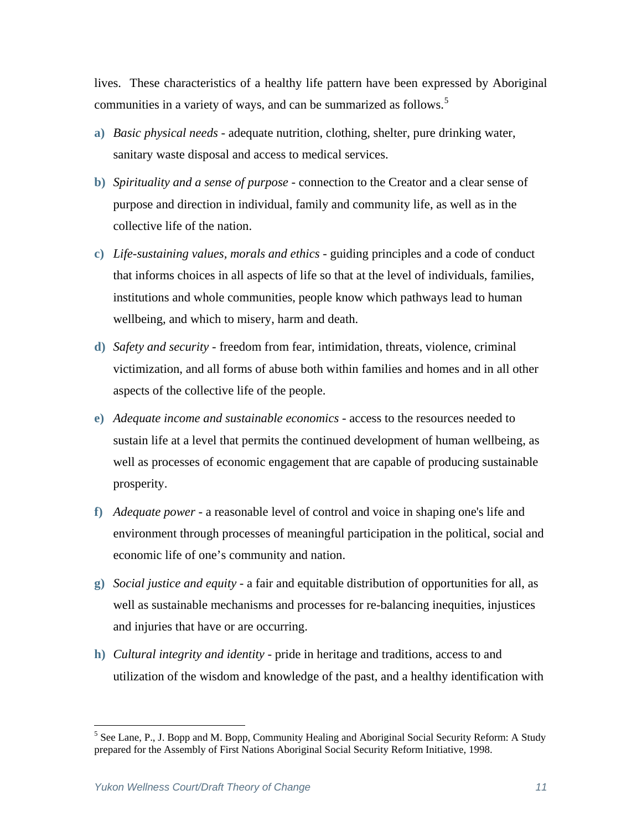lives. These characteristics of a healthy life pattern have been expressed by Aboriginal communities in a variety of ways, and can be summarized as follows.<sup>[5](#page-10-0)</sup>

- **a)** *Basic physical needs* adequate nutrition, clothing, shelter, pure drinking water, sanitary waste disposal and access to medical services.
- **b)** *Spirituality and a sense of purpose* connection to the Creator and a clear sense of purpose and direction in individual, family and community life, as well as in the collective life of the nation.
- **c)** *Life-sustaining values, morals and ethics* guiding principles and a code of conduct that informs choices in all aspects of life so that at the level of individuals, families, institutions and whole communities, people know which pathways lead to human wellbeing, and which to misery, harm and death.
- **d)** *Safety and security* freedom from fear, intimidation, threats, violence, criminal victimization, and all forms of abuse both within families and homes and in all other aspects of the collective life of the people.
- **e)** *Adequate income and sustainable economics* access to the resources needed to sustain life at a level that permits the continued development of human wellbeing, as well as processes of economic engagement that are capable of producing sustainable prosperity.
- **f)** *Adequate power* a reasonable level of control and voice in shaping one's life and environment through processes of meaningful participation in the political, social and economic life of one's community and nation.
- **g)** *Social justice and equity* a fair and equitable distribution of opportunities for all, as well as sustainable mechanisms and processes for re-balancing inequities, injustices and injuries that have or are occurring.
- **h)** *Cultural integrity and identity* pride in heritage and traditions, access to and utilization of the wisdom and knowledge of the past, and a healthy identification with

 $\overline{a}$ 

<span id="page-10-0"></span><sup>&</sup>lt;sup>5</sup> See Lane, P., J. Bopp and M. Bopp, Community Healing and Aboriginal Social Security Reform: A Study prepared for the Assembly of First Nations Aboriginal Social Security Reform Initiative, 1998.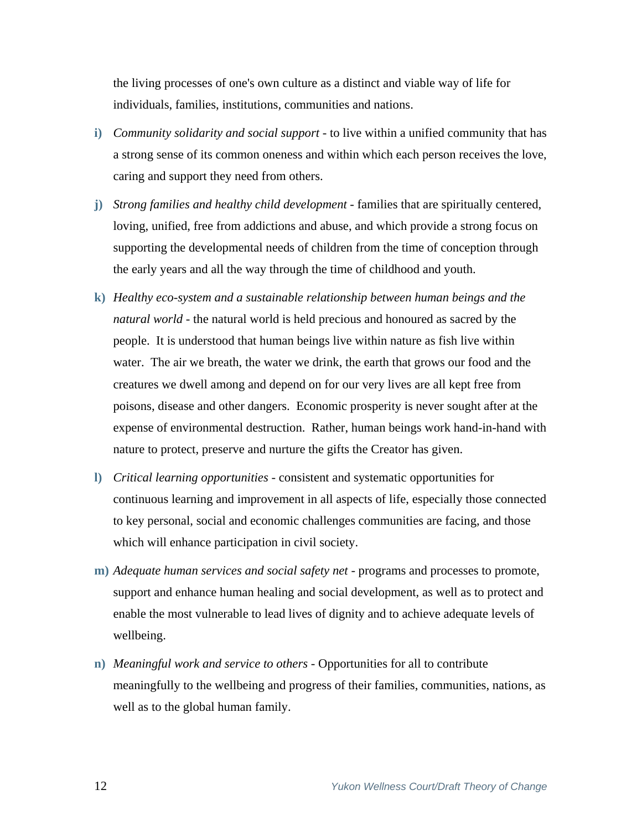the living processes of one's own culture as a distinct and viable way of life for individuals, families, institutions, communities and nations.

- **i)** *Community solidarity and social support*  to live within a unified community that has a strong sense of its common oneness and within which each person receives the love, caring and support they need from others.
- **j)** *Strong families and healthy child development*  families that are spiritually centered, loving, unified, free from addictions and abuse, and which provide a strong focus on supporting the developmental needs of children from the time of conception through the early years and all the way through the time of childhood and youth.
- **k)** *Healthy eco-system and a sustainable relationship between human beings and the natural world* - the natural world is held precious and honoured as sacred by the people. It is understood that human beings live within nature as fish live within water. The air we breath, the water we drink, the earth that grows our food and the creatures we dwell among and depend on for our very lives are all kept free from poisons, disease and other dangers. Economic prosperity is never sought after at the expense of environmental destruction. Rather, human beings work hand-in-hand with nature to protect, preserve and nurture the gifts the Creator has given.
- **l)** *Critical learning opportunities* consistent and systematic opportunities for continuous learning and improvement in all aspects of life, especially those connected to key personal, social and economic challenges communities are facing, and those which will enhance participation in civil society.
- **m)** *Adequate human services and social safety net* programs and processes to promote, support and enhance human healing and social development, as well as to protect and enable the most vulnerable to lead lives of dignity and to achieve adequate levels of wellbeing.
- **n)** *Meaningful work and service to others* Opportunities for all to contribute meaningfully to the wellbeing and progress of their families, communities, nations, as well as to the global human family.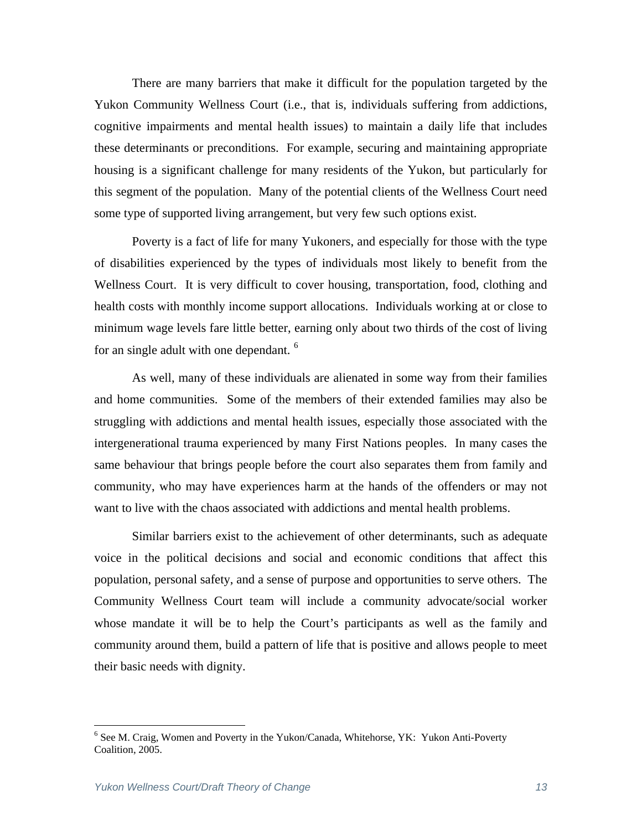There are many barriers that make it difficult for the population targeted by the Yukon Community Wellness Court (i.e., that is, individuals suffering from addictions, cognitive impairments and mental health issues) to maintain a daily life that includes these determinants or preconditions. For example, securing and maintaining appropriate housing is a significant challenge for many residents of the Yukon, but particularly for this segment of the population. Many of the potential clients of the Wellness Court need some type of supported living arrangement, but very few such options exist.

Poverty is a fact of life for many Yukoners, and especially for those with the type of disabilities experienced by the types of individuals most likely to benefit from the Wellness Court. It is very difficult to cover housing, transportation, food, clothing and health costs with monthly income support allocations. Individuals working at or close to minimum wage levels fare little better, earning only about two thirds of the cost of living for an single adult with one dependant.<sup>[6](#page-12-0)</sup>

As well, many of these individuals are alienated in some way from their families and home communities. Some of the members of their extended families may also be struggling with addictions and mental health issues, especially those associated with the intergenerational trauma experienced by many First Nations peoples. In many cases the same behaviour that brings people before the court also separates them from family and community, who may have experiences harm at the hands of the offenders or may not want to live with the chaos associated with addictions and mental health problems.

Similar barriers exist to the achievement of other determinants, such as adequate voice in the political decisions and social and economic conditions that affect this population, personal safety, and a sense of purpose and opportunities to serve others. The Community Wellness Court team will include a community advocate/social worker whose mandate it will be to help the Court's participants as well as the family and community around them, build a pattern of life that is positive and allows people to meet their basic needs with dignity.

1

<span id="page-12-0"></span><sup>&</sup>lt;sup>6</sup> See M. Craig, Women and Poverty in the Yukon/Canada, Whitehorse, YK: Yukon Anti-Poverty Coalition, 2005.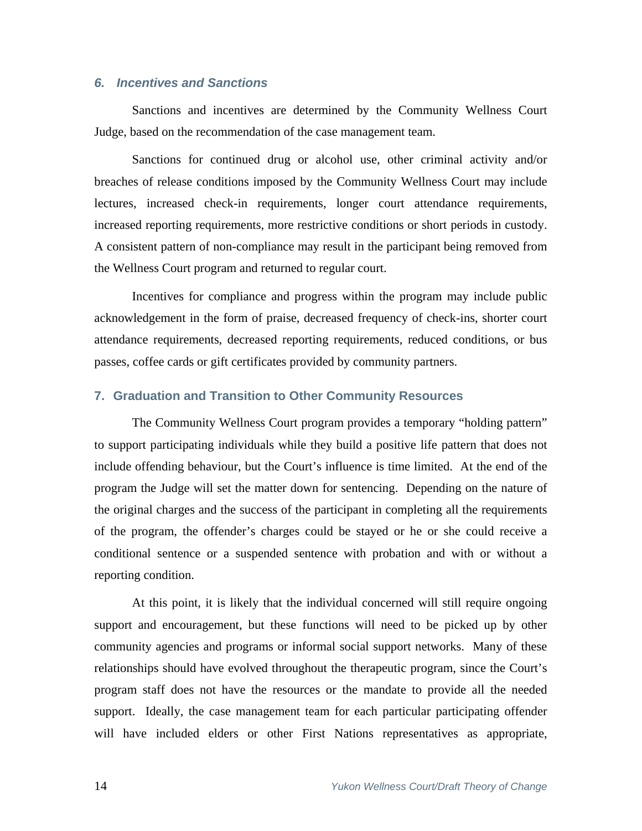## *6. Incentives and Sanctions*

Sanctions and incentives are determined by the Community Wellness Court Judge, based on the recommendation of the case management team.

Sanctions for continued drug or alcohol use, other criminal activity and/or breaches of release conditions imposed by the Community Wellness Court may include lectures, increased check-in requirements, longer court attendance requirements, increased reporting requirements, more restrictive conditions or short periods in custody. A consistent pattern of non-compliance may result in the participant being removed from the Wellness Court program and returned to regular court.

Incentives for compliance and progress within the program may include public acknowledgement in the form of praise, decreased frequency of check-ins, shorter court attendance requirements, decreased reporting requirements, reduced conditions, or bus passes, coffee cards or gift certificates provided by community partners.

### **7. Graduation and Transition to Other Community Resources**

The Community Wellness Court program provides a temporary "holding pattern" to support participating individuals while they build a positive life pattern that does not include offending behaviour, but the Court's influence is time limited. At the end of the program the Judge will set the matter down for sentencing. Depending on the nature of the original charges and the success of the participant in completing all the requirements of the program, the offender's charges could be stayed or he or she could receive a conditional sentence or a suspended sentence with probation and with or without a reporting condition.

At this point, it is likely that the individual concerned will still require ongoing support and encouragement, but these functions will need to be picked up by other community agencies and programs or informal social support networks. Many of these relationships should have evolved throughout the therapeutic program, since the Court's program staff does not have the resources or the mandate to provide all the needed support. Ideally, the case management team for each particular participating offender will have included elders or other First Nations representatives as appropriate,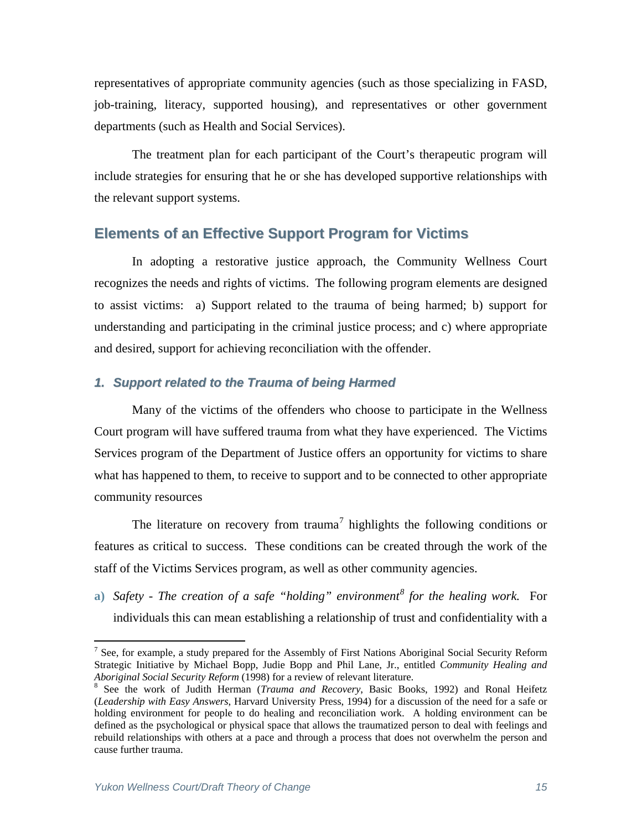representatives of appropriate community agencies (such as those specializing in FASD, job-training, literacy, supported housing), and representatives or other government departments (such as Health and Social Services).

The treatment plan for each participant of the Court's therapeutic program will include strategies for ensuring that he or she has developed supportive relationships with the relevant support systems.

## **Elements of an Effective Support Program for Victims**

In adopting a restorative justice approach, the Community Wellness Court recognizes the needs and rights of victims. The following program elements are designed to assist victims: a) Support related to the trauma of being harmed; b) support for understanding and participating in the criminal justice process; and c) where appropriate and desired, support for achieving reconciliation with the offender.

### *1. Support related to the Trauma of being Harmed*

Many of the victims of the offenders who choose to participate in the Wellness Court program will have suffered trauma from what they have experienced. The Victims Services program of the Department of Justice offers an opportunity for victims to share what has happened to them, to receive to support and to be connected to other appropriate community resources

The literature on recovery from trauma<sup>[7](#page-14-0)</sup> highlights the following conditions or features as critical to success. These conditions can be created through the work of the staff of the Victims Services program, as well as other community agencies.

**a)** *Safety - The creation of a safe "holding" environment[8](#page-14-1) for the healing work.* For individuals this can mean establishing a relationship of trust and confidentiality with a

 $\overline{a}$ 

<span id="page-14-0"></span><sup>&</sup>lt;sup>7</sup> See, for example, a study prepared for the Assembly of First Nations Aboriginal Social Security Reform Strategic Initiative by Michael Bopp, Judie Bopp and Phil Lane, Jr., entitled *Community Healing and Aboriginal Social Security Reform* (1998) for a review of relevant literature. 8

<span id="page-14-1"></span><sup>&</sup>lt;sup>8</sup> See the work of Judith Herman (*Trauma and Recovery*, Basic Books, 1992) and Ronal Heifetz (*Leadership with Easy Answers*, Harvard University Press, 1994) for a discussion of the need for a safe or holding environment for people to do healing and reconciliation work. A holding environment can be defined as the psychological or physical space that allows the traumatized person to deal with feelings and rebuild relationships with others at a pace and through a process that does not overwhelm the person and cause further trauma.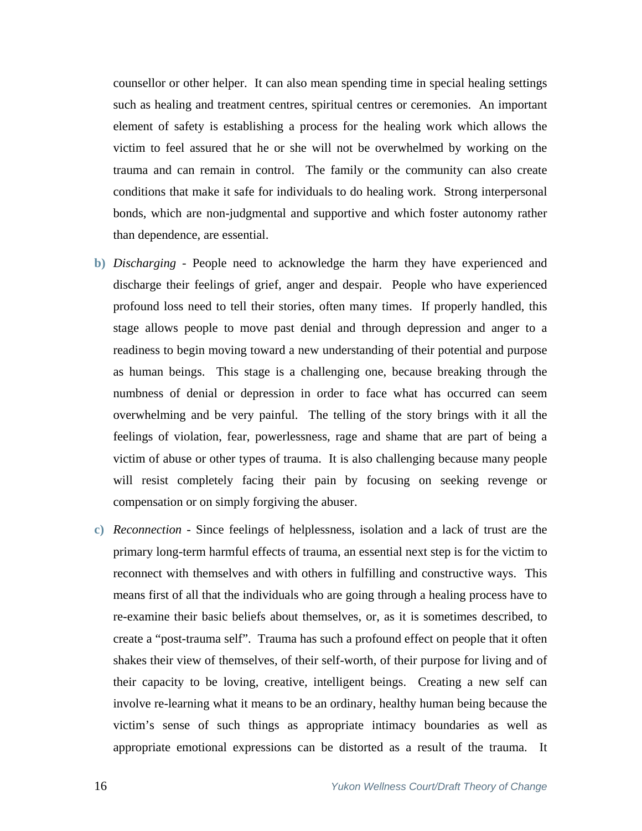counsellor or other helper. It can also mean spending time in special healing settings such as healing and treatment centres, spiritual centres or ceremonies. An important element of safety is establishing a process for the healing work which allows the victim to feel assured that he or she will not be overwhelmed by working on the trauma and can remain in control. The family or the community can also create conditions that make it safe for individuals to do healing work. Strong interpersonal bonds, which are non-judgmental and supportive and which foster autonomy rather than dependence, are essential.

- **b)** *Discharging* People need to acknowledge the harm they have experienced and discharge their feelings of grief, anger and despair. People who have experienced profound loss need to tell their stories, often many times. If properly handled, this stage allows people to move past denial and through depression and anger to a readiness to begin moving toward a new understanding of their potential and purpose as human beings. This stage is a challenging one, because breaking through the numbness of denial or depression in order to face what has occurred can seem overwhelming and be very painful. The telling of the story brings with it all the feelings of violation, fear, powerlessness, rage and shame that are part of being a victim of abuse or other types of trauma. It is also challenging because many people will resist completely facing their pain by focusing on seeking revenge or compensation or on simply forgiving the abuser.
- **c)** *Reconnection* Since feelings of helplessness, isolation and a lack of trust are the primary long-term harmful effects of trauma, an essential next step is for the victim to reconnect with themselves and with others in fulfilling and constructive ways. This means first of all that the individuals who are going through a healing process have to re-examine their basic beliefs about themselves, or, as it is sometimes described, to create a "post-trauma self". Trauma has such a profound effect on people that it often shakes their view of themselves, of their self-worth, of their purpose for living and of their capacity to be loving, creative, intelligent beings. Creating a new self can involve re-learning what it means to be an ordinary, healthy human being because the victim's sense of such things as appropriate intimacy boundaries as well as appropriate emotional expressions can be distorted as a result of the trauma. It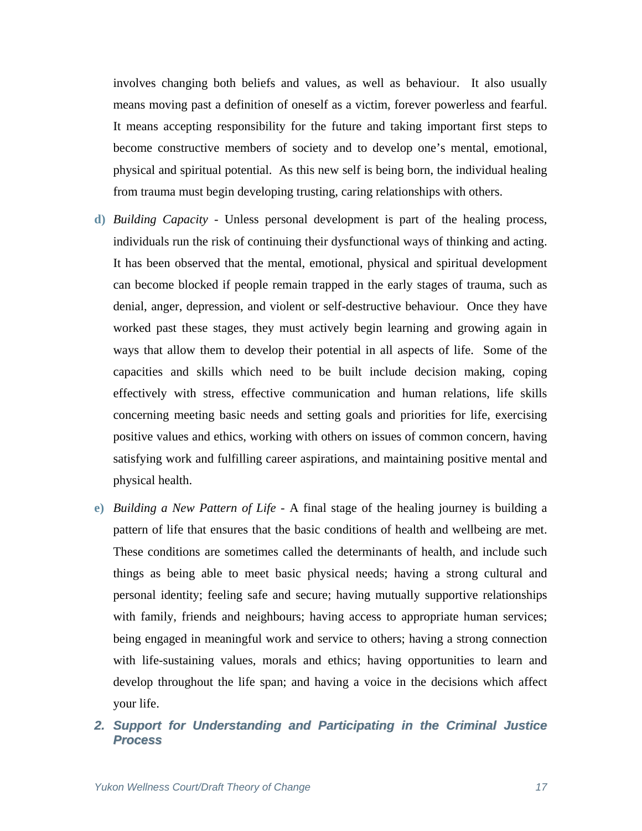involves changing both beliefs and values, as well as behaviour. It also usually means moving past a definition of oneself as a victim, forever powerless and fearful. It means accepting responsibility for the future and taking important first steps to become constructive members of society and to develop one's mental, emotional, physical and spiritual potential. As this new self is being born, the individual healing from trauma must begin developing trusting, caring relationships with others.

- **d)** *Building Capacity* Unless personal development is part of the healing process, individuals run the risk of continuing their dysfunctional ways of thinking and acting. It has been observed that the mental, emotional, physical and spiritual development can become blocked if people remain trapped in the early stages of trauma, such as denial, anger, depression, and violent or self-destructive behaviour. Once they have worked past these stages, they must actively begin learning and growing again in ways that allow them to develop their potential in all aspects of life. Some of the capacities and skills which need to be built include decision making, coping effectively with stress, effective communication and human relations, life skills concerning meeting basic needs and setting goals and priorities for life, exercising positive values and ethics, working with others on issues of common concern, having satisfying work and fulfilling career aspirations, and maintaining positive mental and physical health.
- **e)** *Building a New Pattern of Life* A final stage of the healing journey is building a pattern of life that ensures that the basic conditions of health and wellbeing are met. These conditions are sometimes called the determinants of health, and include such things as being able to meet basic physical needs; having a strong cultural and personal identity; feeling safe and secure; having mutually supportive relationships with family, friends and neighbours; having access to appropriate human services; being engaged in meaningful work and service to others; having a strong connection with life-sustaining values, morals and ethics; having opportunities to learn and develop throughout the life span; and having a voice in the decisions which affect your life.
- *2. Support for Understanding and Participating in the Criminal Justice Process*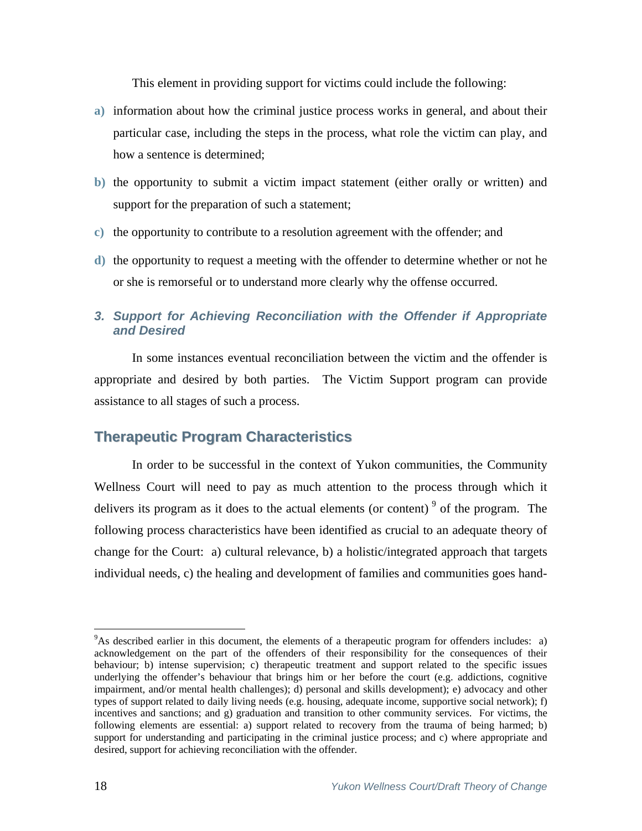This element in providing support for victims could include the following:

- **a)** information about how the criminal justice process works in general, and about their particular case, including the steps in the process, what role the victim can play, and how a sentence is determined;
- **b)** the opportunity to submit a victim impact statement (either orally or written) and support for the preparation of such a statement;
- **c)** the opportunity to contribute to a resolution agreement with the offender; and
- **d)** the opportunity to request a meeting with the offender to determine whether or not he or she is remorseful or to understand more clearly why the offense occurred.

## *3. Support for Achieving Reconciliation with the Offender if Appropriate and Desired*

 In some instances eventual reconciliation between the victim and the offender is appropriate and desired by both parties. The Victim Support program can provide assistance to all stages of such a process.

## **Therapeutic Program Characteristics**

 In order to be successful in the context of Yukon communities, the Community Wellness Court will need to pay as much attention to the process through which it delivers its program as it does to the actual elements (or content)  $9$  of the program. The following process characteristics have been identified as crucial to an adequate theory of change for the Court: a) cultural relevance, b) a holistic/integrated approach that targets individual needs, c) the healing and development of families and communities goes hand-

 $\overline{a}$ 

<span id="page-17-0"></span><sup>&</sup>lt;sup>9</sup>As described earlier in this document, the elements of a therapeutic program for offenders includes: a) acknowledgement on the part of the offenders of their responsibility for the consequences of their behaviour; b) intense supervision; c) therapeutic treatment and support related to the specific issues underlying the offender's behaviour that brings him or her before the court (e.g. addictions, cognitive impairment, and/or mental health challenges); d) personal and skills development); e) advocacy and other types of support related to daily living needs (e.g. housing, adequate income, supportive social network); f) incentives and sanctions; and g) graduation and transition to other community services. For victims, the following elements are essential: a) support related to recovery from the trauma of being harmed; b) support for understanding and participating in the criminal justice process; and c) where appropriate and desired, support for achieving reconciliation with the offender.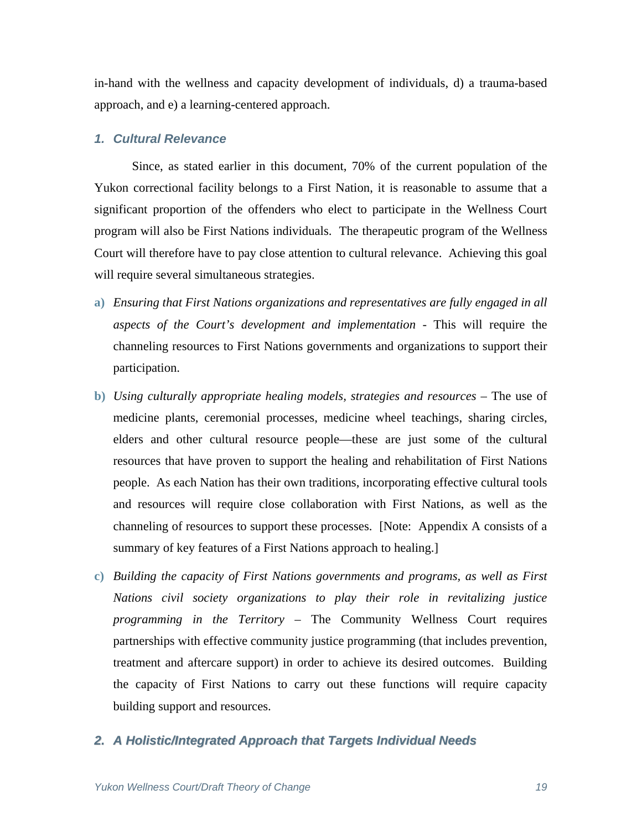in-hand with the wellness and capacity development of individuals, d) a trauma-based approach, and e) a learning-centered approach.

#### *1. Cultural Relevance*

Since, as stated earlier in this document, 70% of the current population of the Yukon correctional facility belongs to a First Nation, it is reasonable to assume that a significant proportion of the offenders who elect to participate in the Wellness Court program will also be First Nations individuals. The therapeutic program of the Wellness Court will therefore have to pay close attention to cultural relevance. Achieving this goal will require several simultaneous strategies.

- **a)** *Ensuring that First Nations organizations and representatives are fully engaged in all aspects of the Court's development and implementation* - This will require the channeling resources to First Nations governments and organizations to support their participation.
- **b)** *Using culturally appropriate healing models, strategies and resources* The use of medicine plants, ceremonial processes, medicine wheel teachings, sharing circles, elders and other cultural resource people—these are just some of the cultural resources that have proven to support the healing and rehabilitation of First Nations people. As each Nation has their own traditions, incorporating effective cultural tools and resources will require close collaboration with First Nations, as well as the channeling of resources to support these processes. [Note: Appendix A consists of a summary of key features of a First Nations approach to healing.]
- **c)** *Building the capacity of First Nations governments and programs, as well as First Nations civil society organizations to play their role in revitalizing justice programming in the Territory* – The Community Wellness Court requires partnerships with effective community justice programming (that includes prevention, treatment and aftercare support) in order to achieve its desired outcomes. Building the capacity of First Nations to carry out these functions will require capacity building support and resources.

#### *2. A Holistic/Integrated Approach that Targets Individual Needs*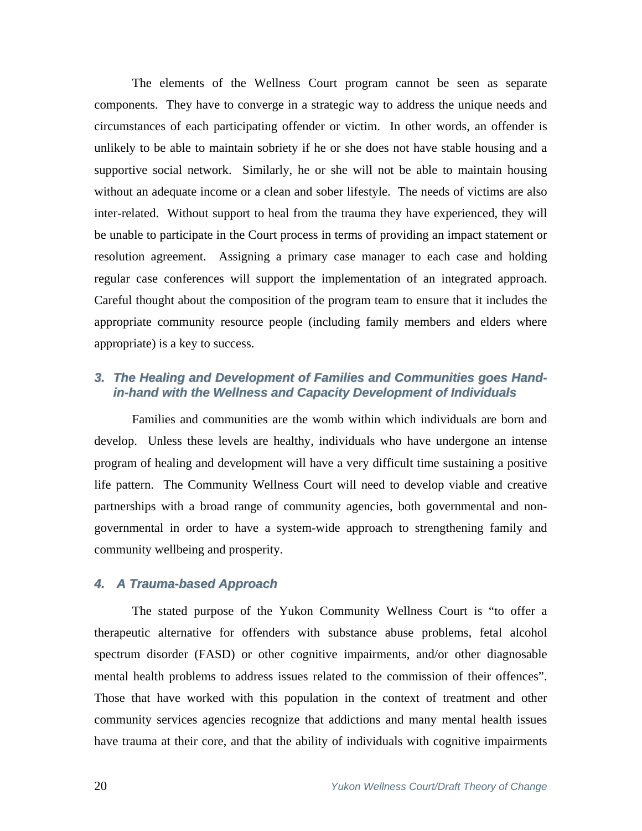The elements of the Wellness Court program cannot be seen as separate components. They have to converge in a strategic way to address the unique needs and circumstances of each participating offender or victim. In other words, an offender is unlikely to be able to maintain sobriety if he or she does not have stable housing and a supportive social network. Similarly, he or she will not be able to maintain housing without an adequate income or a clean and sober lifestyle. The needs of victims are also inter-related. Without support to heal from the trauma they have experienced, they will be unable to participate in the Court process in terms of providing an impact statement or resolution agreement. Assigning a primary case manager to each case and holding regular case conferences will support the implementation of an integrated approach. Careful thought about the composition of the program team to ensure that it includes the appropriate community resource people (including family members and elders where appropriate) is a key to success.

### *3. The Healing and Development of Families and Communities goes Handin-hand with the Wellness and Capacity Development of Individuals*

Families and communities are the womb within which individuals are born and develop. Unless these levels are healthy, individuals who have undergone an intense program of healing and development will have a very difficult time sustaining a positive life pattern. The Community Wellness Court will need to develop viable and creative partnerships with a broad range of community agencies, both governmental and nongovernmental in order to have a system-wide approach to strengthening family and community wellbeing and prosperity.

#### *4. A Trauma-based Approach*

The stated purpose of the Yukon Community Wellness Court is "to offer a therapeutic alternative for offenders with substance abuse problems, fetal alcohol spectrum disorder (FASD) or other cognitive impairments, and/or other diagnosable mental health problems to address issues related to the commission of their offences". Those that have worked with this population in the context of treatment and other community services agencies recognize that addictions and many mental health issues have trauma at their core, and that the ability of individuals with cognitive impairments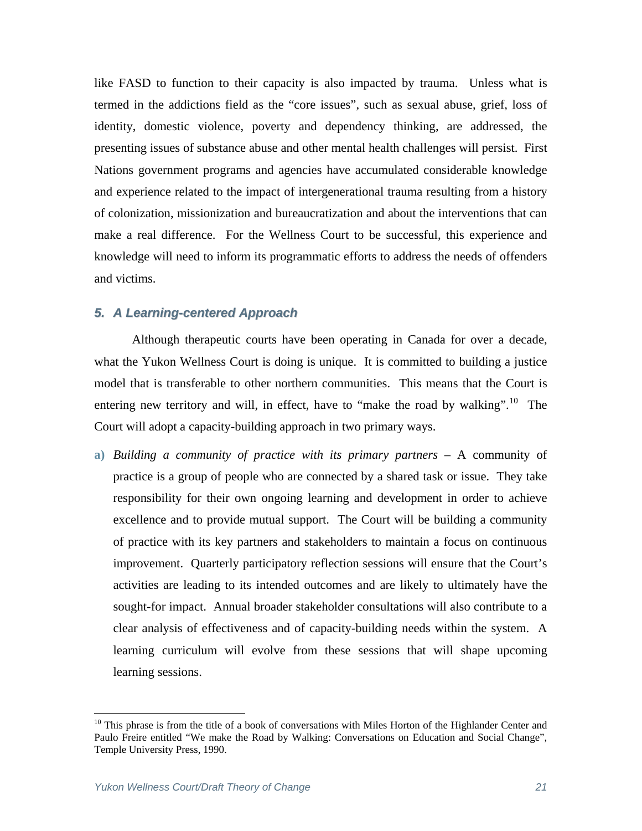like FASD to function to their capacity is also impacted by trauma. Unless what is termed in the addictions field as the "core issues", such as sexual abuse, grief, loss of identity, domestic violence, poverty and dependency thinking, are addressed, the presenting issues of substance abuse and other mental health challenges will persist. First Nations government programs and agencies have accumulated considerable knowledge and experience related to the impact of intergenerational trauma resulting from a history of colonization, missionization and bureaucratization and about the interventions that can make a real difference. For the Wellness Court to be successful, this experience and knowledge will need to inform its programmatic efforts to address the needs of offenders and victims.

#### *5. A Learning-centered Approach*

Although therapeutic courts have been operating in Canada for over a decade, what the Yukon Wellness Court is doing is unique. It is committed to building a justice model that is transferable to other northern communities. This means that the Court is entering new territory and will, in effect, have to "make the road by walking".<sup>[1](#page-20-0)0</sup> The Court will adopt a capacity-building approach in two primary ways.

**a)** *Building a community of practice with its primary partners* – A community of practice is a group of people who are connected by a shared task or issue. They take responsibility for their own ongoing learning and development in order to achieve excellence and to provide mutual support. The Court will be building a community of practice with its key partners and stakeholders to maintain a focus on continuous improvement. Quarterly participatory reflection sessions will ensure that the Court's activities are leading to its intended outcomes and are likely to ultimately have the sought-for impact. Annual broader stakeholder consultations will also contribute to a clear analysis of effectiveness and of capacity-building needs within the system. A learning curriculum will evolve from these sessions that will shape upcoming learning sessions.

1

<span id="page-20-0"></span><sup>&</sup>lt;sup>10</sup> This phrase is from the title of a book of conversations with Miles Horton of the Highlander Center and Paulo Freire entitled "We make the Road by Walking: Conversations on Education and Social Change", Temple University Press, 1990.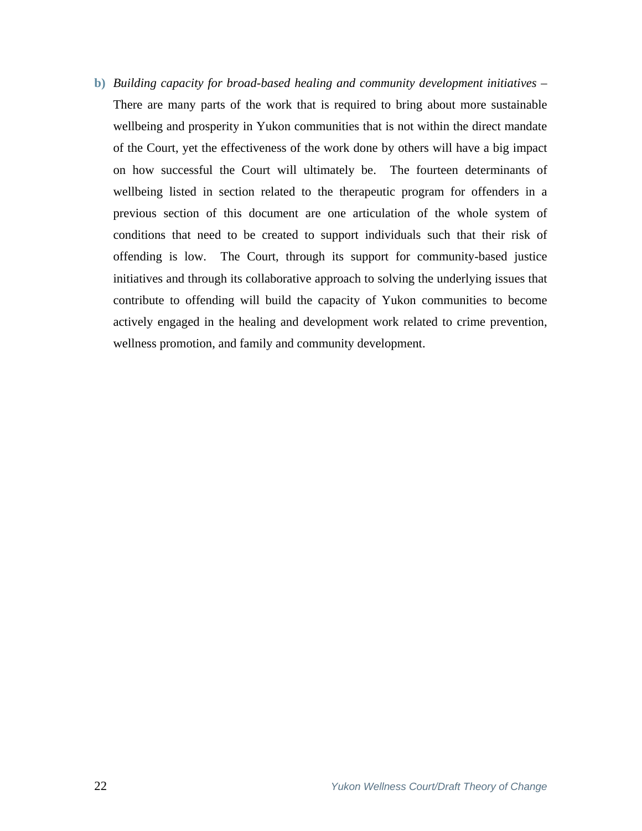**b)** *Building capacity for broad-based healing and community development initiatives* – There are many parts of the work that is required to bring about more sustainable wellbeing and prosperity in Yukon communities that is not within the direct mandate of the Court, yet the effectiveness of the work done by others will have a big impact on how successful the Court will ultimately be. The fourteen determinants of wellbeing listed in section related to the therapeutic program for offenders in a previous section of this document are one articulation of the whole system of conditions that need to be created to support individuals such that their risk of offending is low. The Court, through its support for community-based justice initiatives and through its collaborative approach to solving the underlying issues that contribute to offending will build the capacity of Yukon communities to become actively engaged in the healing and development work related to crime prevention, wellness promotion, and family and community development.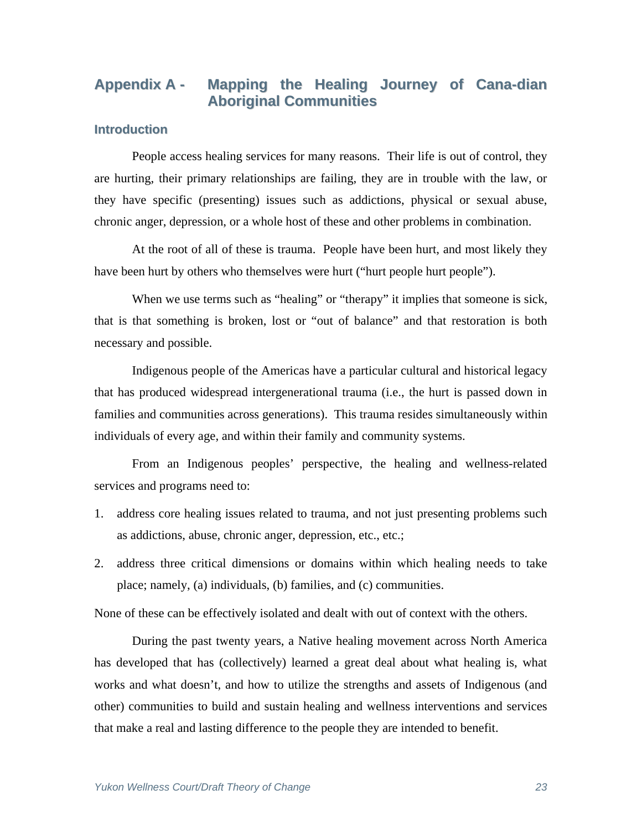# **Appendix A - Mapping the Healing Journey of Cana-dian Aboriginal Communities**

## **Introduction**

People access healing services for many reasons. Their life is out of control, they are hurting, their primary relationships are failing, they are in trouble with the law, or they have specific (presenting) issues such as addictions, physical or sexual abuse, chronic anger, depression, or a whole host of these and other problems in combination.

 At the root of all of these is trauma. People have been hurt, and most likely they have been hurt by others who themselves were hurt ("hurt people hurt people").

When we use terms such as "healing" or "therapy" it implies that someone is sick, that is that something is broken, lost or "out of balance" and that restoration is both necessary and possible.

 Indigenous people of the Americas have a particular cultural and historical legacy that has produced widespread intergenerational trauma (i.e., the hurt is passed down in families and communities across generations). This trauma resides simultaneously within individuals of every age, and within their family and community systems.

 From an Indigenous peoples' perspective, the healing and wellness-related services and programs need to:

- 1. address core healing issues related to trauma, and not just presenting problems such as addictions, abuse, chronic anger, depression, etc., etc.;
- 2. address three critical dimensions or domains within which healing needs to take place; namely, (a) individuals, (b) families, and (c) communities.

None of these can be effectively isolated and dealt with out of context with the others.

 During the past twenty years, a Native healing movement across North America has developed that has (collectively) learned a great deal about what healing is, what works and what doesn't, and how to utilize the strengths and assets of Indigenous (and other) communities to build and sustain healing and wellness interventions and services that make a real and lasting difference to the people they are intended to benefit.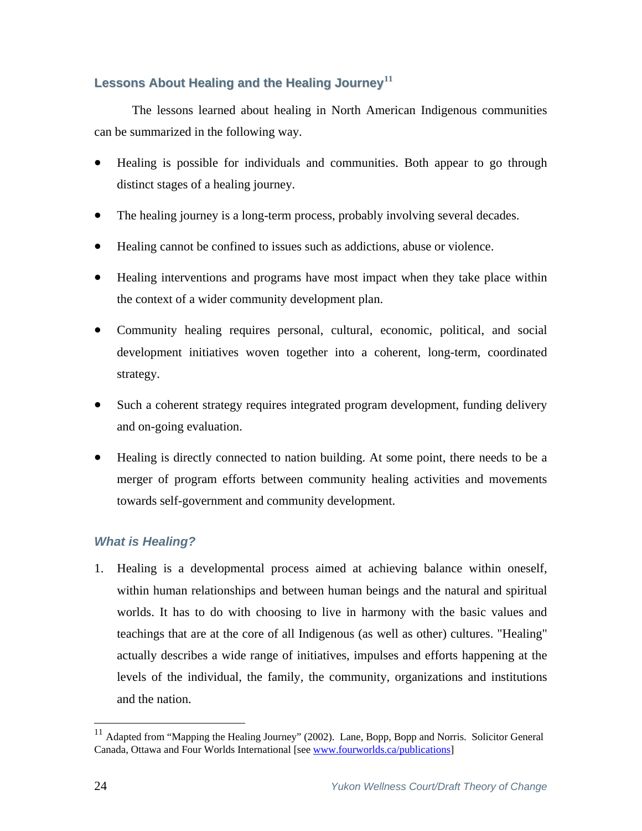## **Lessons About Healing and the Healing Journey[11](#page-23-0)**

The lessons learned about healing in North American Indigenous communities can be summarized in the following way.

- Healing is possible for individuals and communities. Both appear to go through distinct stages of a healing journey.
- The healing journey is a long-term process, probably involving several decades.
- Healing cannot be confined to issues such as addictions, abuse or violence.
- Healing interventions and programs have most impact when they take place within the context of a wider community development plan.
- Community healing requires personal, cultural, economic, political, and social development initiatives woven together into a coherent, long-term, coordinated strategy.
- Such a coherent strategy requires integrated program development, funding delivery and on-going evaluation.
- Healing is directly connected to nation building. At some point, there needs to be a merger of program efforts between community healing activities and movements towards self-government and community development.

## *What is Healing?*

1. Healing is a developmental process aimed at achieving balance within oneself, within human relationships and between human beings and the natural and spiritual worlds. It has to do with choosing to live in harmony with the basic values and teachings that are at the core of all Indigenous (as well as other) cultures. "Healing" actually describes a wide range of initiatives, impulses and efforts happening at the levels of the individual, the family, the community, organizations and institutions and the nation.

1

<span id="page-23-0"></span><sup>&</sup>lt;sup>11</sup> Adapted from "Mapping the Healing Journey" (2002). Lane, Bopp, Bopp and Norris. Solicitor General Canada, Ottawa and Four Worlds International [see www.fourworlds.ca/publications]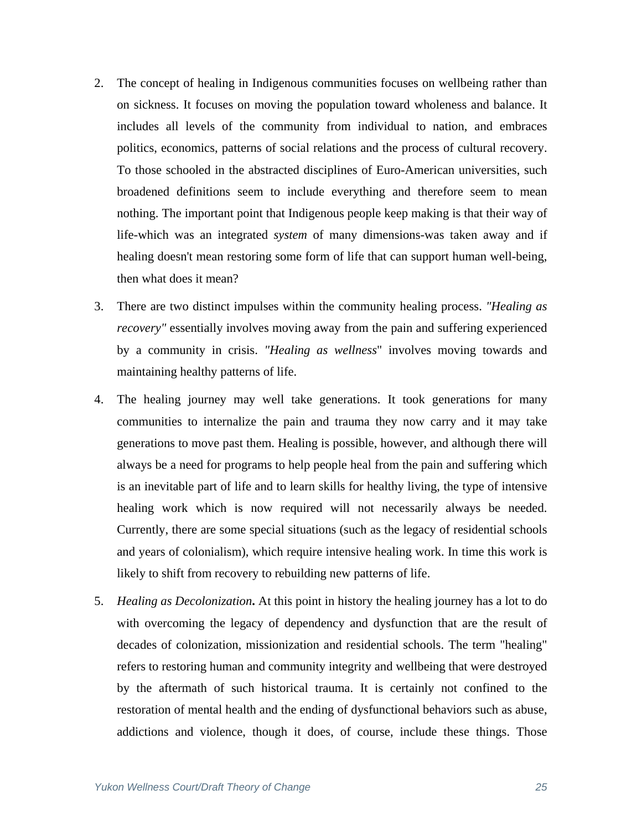- 2. The concept of healing in Indigenous communities focuses on wellbeing rather than on sickness. It focuses on moving the population toward wholeness and balance. It includes all levels of the community from individual to nation, and embraces politics, economics, patterns of social relations and the process of cultural recovery. To those schooled in the abstracted disciplines of Euro-American universities, such broadened definitions seem to include everything and therefore seem to mean nothing. The important point that Indigenous people keep making is that their way of life-which was an integrated *system* of many dimensions-was taken away and if healing doesn't mean restoring some form of life that can support human well-being, then what does it mean?
- 3. There are two distinct impulses within the community healing process. *"Healing as recovery"* essentially involves moving away from the pain and suffering experienced by a community in crisis. *"Healing as wellness*" involves moving towards and maintaining healthy patterns of life.
- 4. The healing journey may well take generations. It took generations for many communities to internalize the pain and trauma they now carry and it may take generations to move past them. Healing is possible, however, and although there will always be a need for programs to help people heal from the pain and suffering which is an inevitable part of life and to learn skills for healthy living, the type of intensive healing work which is now required will not necessarily always be needed. Currently, there are some special situations (such as the legacy of residential schools and years of colonialism), which require intensive healing work. In time this work is likely to shift from recovery to rebuilding new patterns of life.
- 5. *Healing as Decolonization***.** At this point in history the healing journey has a lot to do with overcoming the legacy of dependency and dysfunction that are the result of decades of colonization, missionization and residential schools. The term "healing" refers to restoring human and community integrity and wellbeing that were destroyed by the aftermath of such historical trauma. It is certainly not confined to the restoration of mental health and the ending of dysfunctional behaviors such as abuse, addictions and violence, though it does, of course, include these things. Those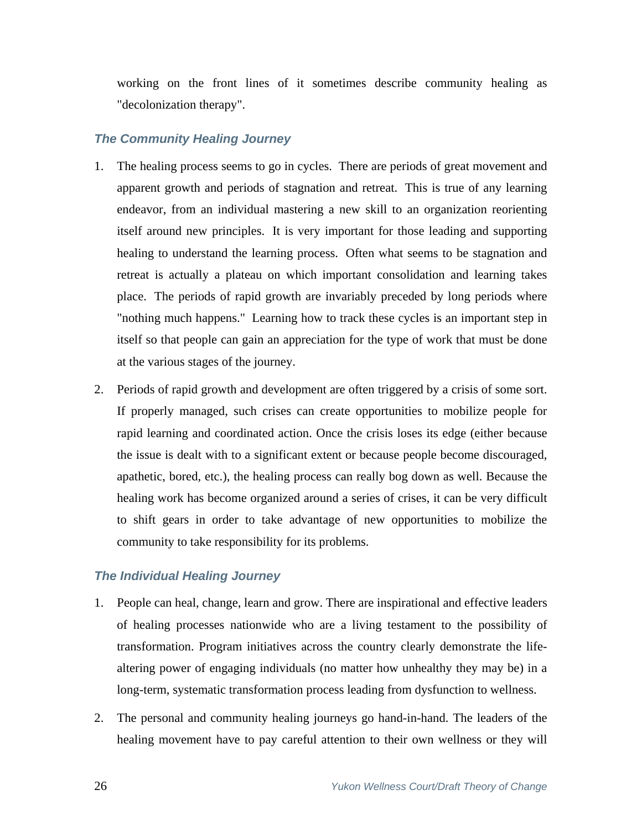working on the front lines of it sometimes describe community healing as "decolonization therapy".

## *The Community Healing Journey*

- 1. The healing process seems to go in cycles. There are periods of great movement and apparent growth and periods of stagnation and retreat. This is true of any learning endeavor, from an individual mastering a new skill to an organization reorienting itself around new principles. It is very important for those leading and supporting healing to understand the learning process. Often what seems to be stagnation and retreat is actually a plateau on which important consolidation and learning takes place. The periods of rapid growth are invariably preceded by long periods where "nothing much happens." Learning how to track these cycles is an important step in itself so that people can gain an appreciation for the type of work that must be done at the various stages of the journey.
- 2. Periods of rapid growth and development are often triggered by a crisis of some sort. If properly managed, such crises can create opportunities to mobilize people for rapid learning and coordinated action. Once the crisis loses its edge (either because the issue is dealt with to a significant extent or because people become discouraged, apathetic, bored, etc.), the healing process can really bog down as well. Because the healing work has become organized around a series of crises, it can be very difficult to shift gears in order to take advantage of new opportunities to mobilize the community to take responsibility for its problems.

## *The Individual Healing Journey*

- 1. People can heal, change, learn and grow. There are inspirational and effective leaders of healing processes nationwide who are a living testament to the possibility of transformation. Program initiatives across the country clearly demonstrate the lifealtering power of engaging individuals (no matter how unhealthy they may be) in a long-term, systematic transformation process leading from dysfunction to wellness.
- 2. The personal and community healing journeys go hand-in-hand. The leaders of the healing movement have to pay careful attention to their own wellness or they will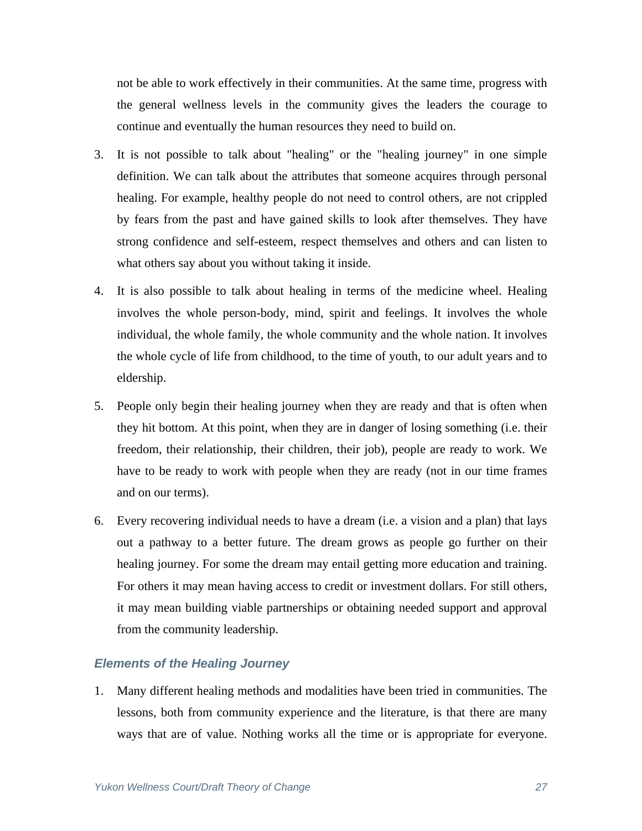not be able to work effectively in their communities. At the same time, progress with the general wellness levels in the community gives the leaders the courage to continue and eventually the human resources they need to build on.

- 3. It is not possible to talk about "healing" or the "healing journey" in one simple definition. We can talk about the attributes that someone acquires through personal healing. For example, healthy people do not need to control others, are not crippled by fears from the past and have gained skills to look after themselves. They have strong confidence and self-esteem, respect themselves and others and can listen to what others say about you without taking it inside.
- 4. It is also possible to talk about healing in terms of the medicine wheel. Healing involves the whole person-body, mind, spirit and feelings. It involves the whole individual, the whole family, the whole community and the whole nation. It involves the whole cycle of life from childhood, to the time of youth, to our adult years and to eldership.
- 5. People only begin their healing journey when they are ready and that is often when they hit bottom. At this point, when they are in danger of losing something (i.e. their freedom, their relationship, their children, their job), people are ready to work. We have to be ready to work with people when they are ready (not in our time frames and on our terms).
- 6. Every recovering individual needs to have a dream (i.e. a vision and a plan) that lays out a pathway to a better future. The dream grows as people go further on their healing journey. For some the dream may entail getting more education and training. For others it may mean having access to credit or investment dollars. For still others, it may mean building viable partnerships or obtaining needed support and approval from the community leadership.

## *Elements of the Healing Journey*

1. Many different healing methods and modalities have been tried in communities. The lessons, both from community experience and the literature, is that there are many ways that are of value. Nothing works all the time or is appropriate for everyone.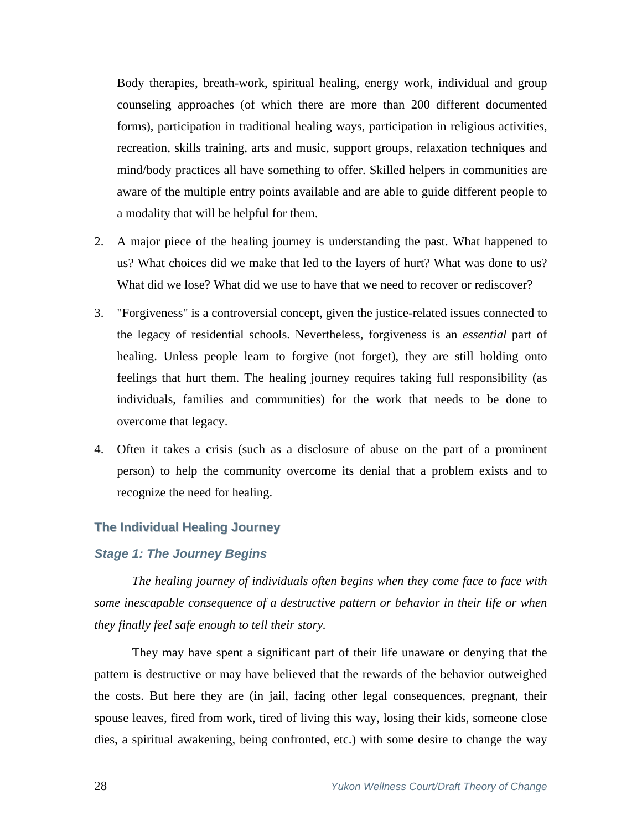Body therapies, breath-work, spiritual healing, energy work, individual and group counseling approaches (of which there are more than 200 different documented forms), participation in traditional healing ways, participation in religious activities, recreation, skills training, arts and music, support groups, relaxation techniques and mind/body practices all have something to offer. Skilled helpers in communities are aware of the multiple entry points available and are able to guide different people to a modality that will be helpful for them.

- 2. A major piece of the healing journey is understanding the past. What happened to us? What choices did we make that led to the layers of hurt? What was done to us? What did we lose? What did we use to have that we need to recover or rediscover?
- 3. "Forgiveness" is a controversial concept, given the justice-related issues connected to the legacy of residential schools. Nevertheless, forgiveness is an *essential* part of healing. Unless people learn to forgive (not forget), they are still holding onto feelings that hurt them. The healing journey requires taking full responsibility (as individuals, families and communities) for the work that needs to be done to overcome that legacy.
- 4. Often it takes a crisis (such as a disclosure of abuse on the part of a prominent person) to help the community overcome its denial that a problem exists and to recognize the need for healing.

#### **The Individual Healing Journey**

#### *Stage 1: The Journey Begins*

*The healing journey of individuals often begins when they come face to face with some inescapable consequence of a destructive pattern or behavior in their life or when they finally feel safe enough to tell their story.*

 They may have spent a significant part of their life unaware or denying that the pattern is destructive or may have believed that the rewards of the behavior outweighed the costs. But here they are (in jail, facing other legal consequences, pregnant, their spouse leaves, fired from work, tired of living this way, losing their kids, someone close dies, a spiritual awakening, being confronted, etc.) with some desire to change the way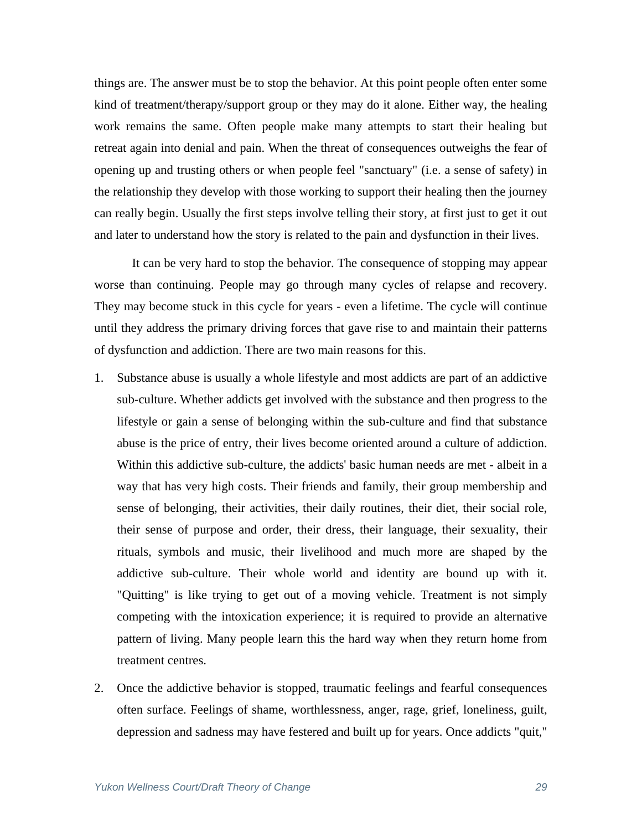things are. The answer must be to stop the behavior. At this point people often enter some kind of treatment/therapy/support group or they may do it alone. Either way, the healing work remains the same. Often people make many attempts to start their healing but retreat again into denial and pain. When the threat of consequences outweighs the fear of opening up and trusting others or when people feel "sanctuary" (i.e. a sense of safety) in the relationship they develop with those working to support their healing then the journey can really begin. Usually the first steps involve telling their story, at first just to get it out and later to understand how the story is related to the pain and dysfunction in their lives.

 It can be very hard to stop the behavior. The consequence of stopping may appear worse than continuing. People may go through many cycles of relapse and recovery. They may become stuck in this cycle for years - even a lifetime. The cycle will continue until they address the primary driving forces that gave rise to and maintain their patterns of dysfunction and addiction. There are two main reasons for this.

- 1. Substance abuse is usually a whole lifestyle and most addicts are part of an addictive sub-culture. Whether addicts get involved with the substance and then progress to the lifestyle or gain a sense of belonging within the sub-culture and find that substance abuse is the price of entry, their lives become oriented around a culture of addiction. Within this addictive sub-culture, the addicts' basic human needs are met - albeit in a way that has very high costs. Their friends and family, their group membership and sense of belonging, their activities, their daily routines, their diet, their social role, their sense of purpose and order, their dress, their language, their sexuality, their rituals, symbols and music, their livelihood and much more are shaped by the addictive sub-culture. Their whole world and identity are bound up with it. "Quitting" is like trying to get out of a moving vehicle. Treatment is not simply competing with the intoxication experience; it is required to provide an alternative pattern of living. Many people learn this the hard way when they return home from treatment centres.
- 2. Once the addictive behavior is stopped, traumatic feelings and fearful consequences often surface. Feelings of shame, worthlessness, anger, rage, grief, loneliness, guilt, depression and sadness may have festered and built up for years. Once addicts "quit,"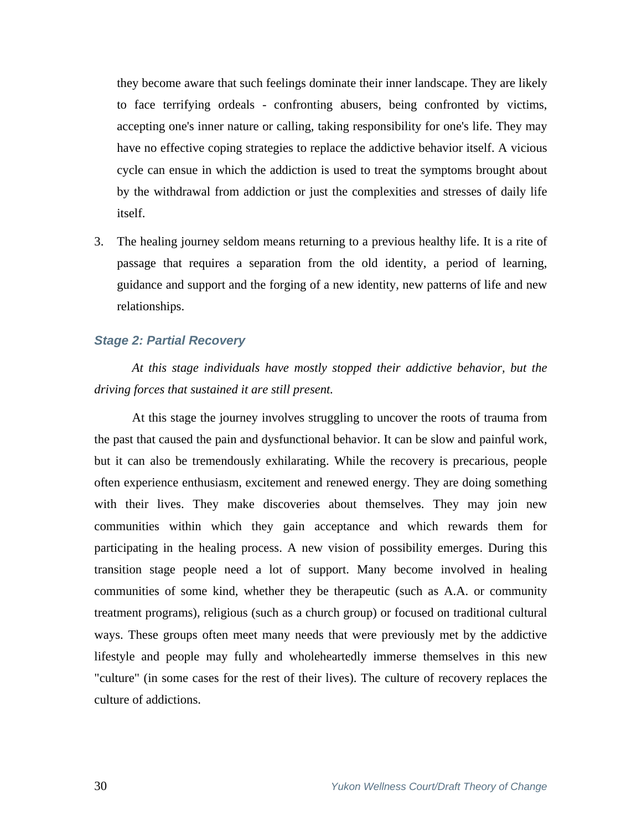they become aware that such feelings dominate their inner landscape. They are likely to face terrifying ordeals - confronting abusers, being confronted by victims, accepting one's inner nature or calling, taking responsibility for one's life. They may have no effective coping strategies to replace the addictive behavior itself. A vicious cycle can ensue in which the addiction is used to treat the symptoms brought about by the withdrawal from addiction or just the complexities and stresses of daily life itself.

3. The healing journey seldom means returning to a previous healthy life. It is a rite of passage that requires a separation from the old identity, a period of learning, guidance and support and the forging of a new identity, new patterns of life and new relationships.

## *Stage 2: Partial Recovery*

*At this stage individuals have mostly stopped their addictive behavior, but the driving forces that sustained it are still present.*

 At this stage the journey involves struggling to uncover the roots of trauma from the past that caused the pain and dysfunctional behavior. It can be slow and painful work, but it can also be tremendously exhilarating. While the recovery is precarious, people often experience enthusiasm, excitement and renewed energy. They are doing something with their lives. They make discoveries about themselves. They may join new communities within which they gain acceptance and which rewards them for participating in the healing process. A new vision of possibility emerges. During this transition stage people need a lot of support. Many become involved in healing communities of some kind, whether they be therapeutic (such as A.A. or community treatment programs), religious (such as a church group) or focused on traditional cultural ways. These groups often meet many needs that were previously met by the addictive lifestyle and people may fully and wholeheartedly immerse themselves in this new "culture" (in some cases for the rest of their lives). The culture of recovery replaces the culture of addictions.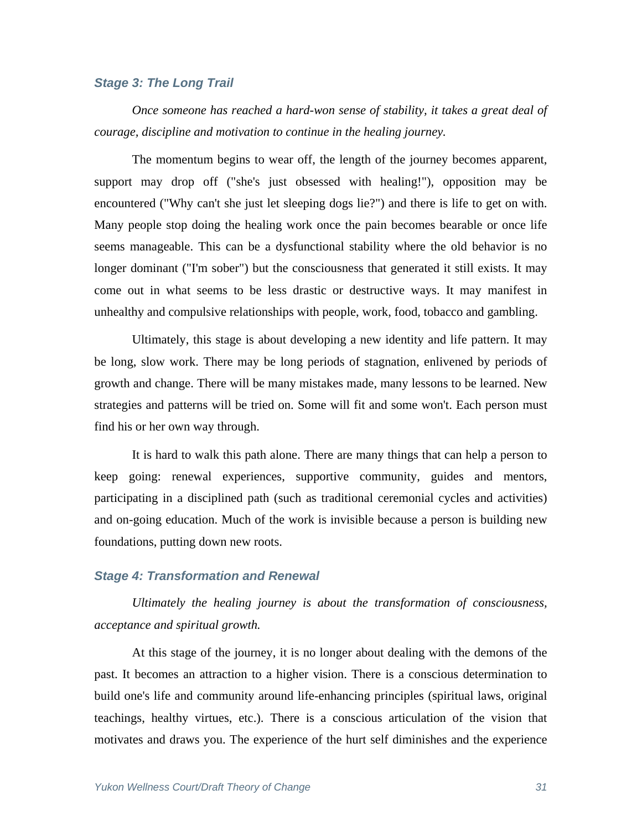#### *Stage 3: The Long Trail*

*Once someone has reached a hard-won sense of stability, it takes a great deal of courage, discipline and motivation to continue in the healing journey.*

 The momentum begins to wear off, the length of the journey becomes apparent, support may drop off ("she's just obsessed with healing!"), opposition may be encountered ("Why can't she just let sleeping dogs lie?") and there is life to get on with. Many people stop doing the healing work once the pain becomes bearable or once life seems manageable. This can be a dysfunctional stability where the old behavior is no longer dominant ("I'm sober") but the consciousness that generated it still exists. It may come out in what seems to be less drastic or destructive ways. It may manifest in unhealthy and compulsive relationships with people, work, food, tobacco and gambling.

 Ultimately, this stage is about developing a new identity and life pattern. It may be long, slow work. There may be long periods of stagnation, enlivened by periods of growth and change. There will be many mistakes made, many lessons to be learned. New strategies and patterns will be tried on. Some will fit and some won't. Each person must find his or her own way through.

It is hard to walk this path alone. There are many things that can help a person to keep going: renewal experiences, supportive community, guides and mentors, participating in a disciplined path (such as traditional ceremonial cycles and activities) and on-going education. Much of the work is invisible because a person is building new foundations, putting down new roots.

#### *Stage 4: Transformation and Renewal*

*Ultimately the healing journey is about the transformation of consciousness, acceptance and spiritual growth.*

 At this stage of the journey, it is no longer about dealing with the demons of the past. It becomes an attraction to a higher vision. There is a conscious determination to build one's life and community around life-enhancing principles (spiritual laws, original teachings, healthy virtues, etc.). There is a conscious articulation of the vision that motivates and draws you. The experience of the hurt self diminishes and the experience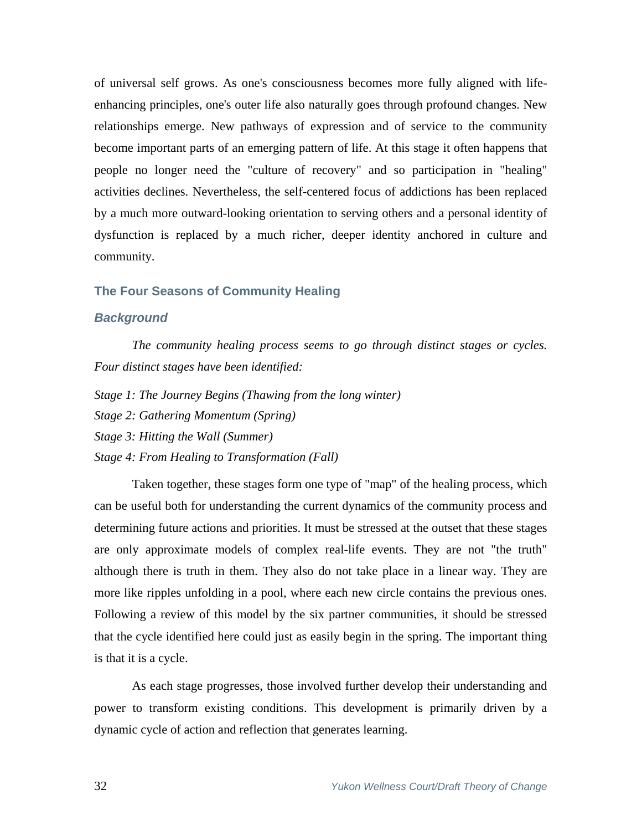of universal self grows. As one's consciousness becomes more fully aligned with lifeenhancing principles, one's outer life also naturally goes through profound changes. New relationships emerge. New pathways of expression and of service to the community become important parts of an emerging pattern of life. At this stage it often happens that people no longer need the "culture of recovery" and so participation in "healing" activities declines. Nevertheless, the self-centered focus of addictions has been replaced by a much more outward-looking orientation to serving others and a personal identity of dysfunction is replaced by a much richer, deeper identity anchored in culture and community.

#### **The Four Seasons of Community Healing**

#### *Background*

*The community healing process seems to go through distinct stages or cycles. Four distinct stages have been identified:* 

*Stage 1: The Journey Begins (Thawing from the long winter)* 

*Stage 2: Gathering Momentum (Spring)* 

*Stage 3: Hitting the Wall (Summer)* 

*Stage 4: From Healing to Transformation (Fall)*

 Taken together, these stages form one type of "map" of the healing process, which can be useful both for understanding the current dynamics of the community process and determining future actions and priorities. It must be stressed at the outset that these stages are only approximate models of complex real-life events. They are not "the truth" although there is truth in them. They also do not take place in a linear way. They are more like ripples unfolding in a pool, where each new circle contains the previous ones. Following a review of this model by the six partner communities, it should be stressed that the cycle identified here could just as easily begin in the spring. The important thing is that it is a cycle.

 As each stage progresses, those involved further develop their understanding and power to transform existing conditions. This development is primarily driven by a dynamic cycle of action and reflection that generates learning.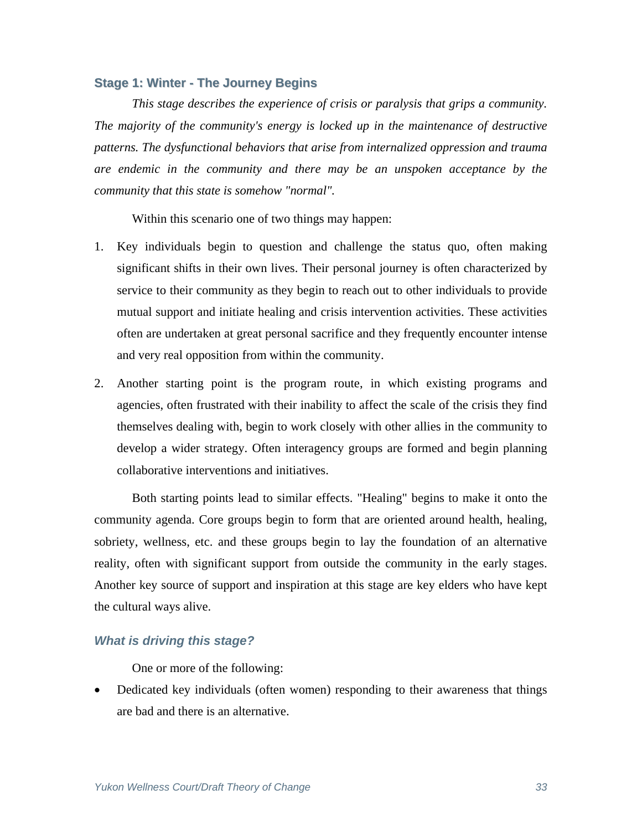#### **Stage 1: Winter - The Journey Begins**

*This stage describes the experience of crisis or paralysis that grips a community. The majority of the community's energy is locked up in the maintenance of destructive patterns. The dysfunctional behaviors that arise from internalized oppression and trauma are endemic in the community and there may be an unspoken acceptance by the community that this state is somehow "normal".* 

Within this scenario one of two things may happen:

- 1. Key individuals begin to question and challenge the status quo, often making significant shifts in their own lives. Their personal journey is often characterized by service to their community as they begin to reach out to other individuals to provide mutual support and initiate healing and crisis intervention activities. These activities often are undertaken at great personal sacrifice and they frequently encounter intense and very real opposition from within the community.
- 2. Another starting point is the program route, in which existing programs and agencies, often frustrated with their inability to affect the scale of the crisis they find themselves dealing with, begin to work closely with other allies in the community to develop a wider strategy. Often interagency groups are formed and begin planning collaborative interventions and initiatives.

 Both starting points lead to similar effects. "Healing" begins to make it onto the community agenda. Core groups begin to form that are oriented around health, healing, sobriety, wellness, etc. and these groups begin to lay the foundation of an alternative reality, often with significant support from outside the community in the early stages. Another key source of support and inspiration at this stage are key elders who have kept the cultural ways alive.

## *What is driving this stage?*

One or more of the following:

• Dedicated key individuals (often women) responding to their awareness that things are bad and there is an alternative.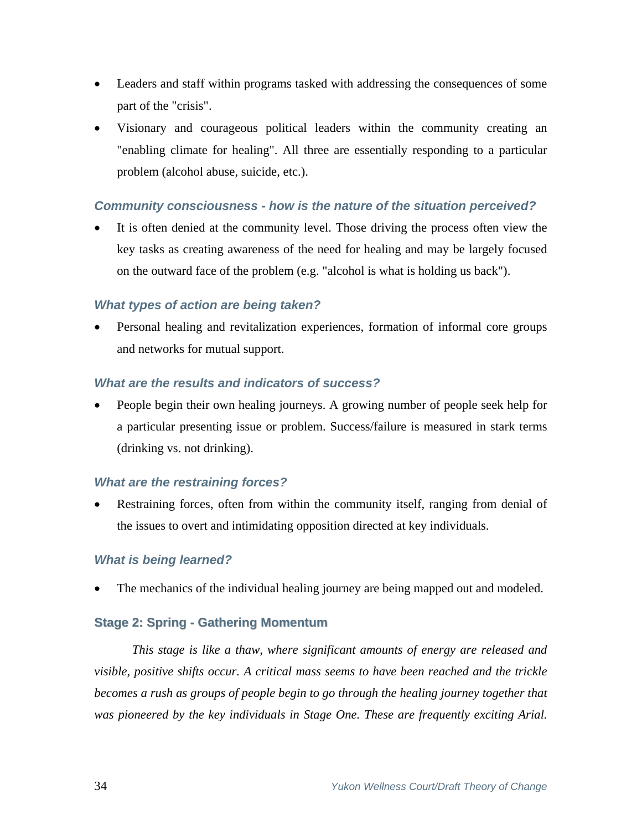- Leaders and staff within programs tasked with addressing the consequences of some part of the "crisis".
- Visionary and courageous political leaders within the community creating an "enabling climate for healing". All three are essentially responding to a particular problem (alcohol abuse, suicide, etc.).

## *Community consciousness - how is the nature of the situation perceived?*

It is often denied at the community level. Those driving the process often view the key tasks as creating awareness of the need for healing and may be largely focused on the outward face of the problem (e.g. "alcohol is what is holding us back").

## *What types of action are being taken?*

• Personal healing and revitalization experiences, formation of informal core groups and networks for mutual support.

## *What are the results and indicators of success?*

• People begin their own healing journeys. A growing number of people seek help for a particular presenting issue or problem. Success/failure is measured in stark terms (drinking vs. not drinking).

## *What are the restraining forces?*

Restraining forces, often from within the community itself, ranging from denial of the issues to overt and intimidating opposition directed at key individuals.

## *What is being learned?*

The mechanics of the individual healing journey are being mapped out and modeled.

## **Stage 2: Spring - Gathering Momentum**

*This stage is like a thaw, where significant amounts of energy are released and visible, positive shifts occur. A critical mass seems to have been reached and the trickle becomes a rush as groups of people begin to go through the healing journey together that was pioneered by the key individuals in Stage One. These are frequently exciting Arial.*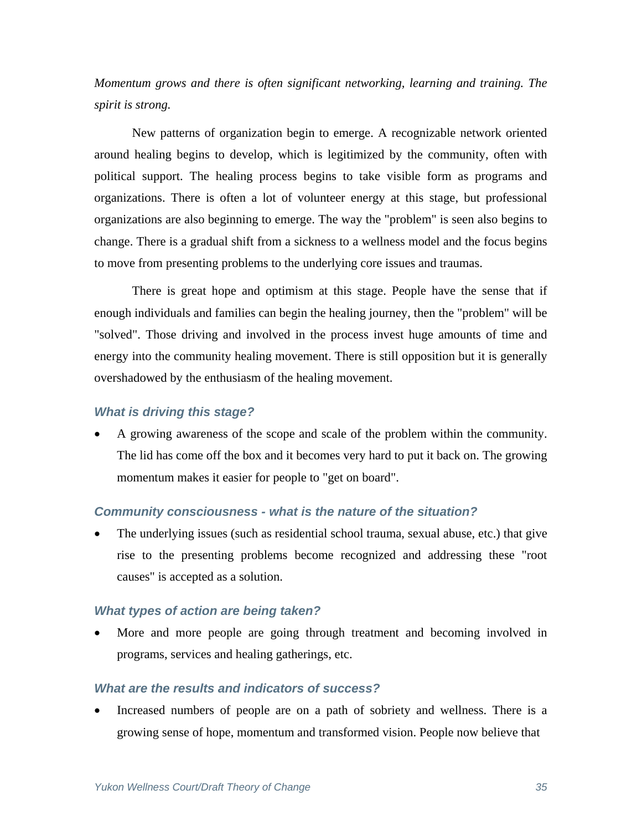*Momentum grows and there is often significant networking, learning and training. The spirit is strong.* 

 New patterns of organization begin to emerge. A recognizable network oriented around healing begins to develop, which is legitimized by the community, often with political support. The healing process begins to take visible form as programs and organizations. There is often a lot of volunteer energy at this stage, but professional organizations are also beginning to emerge. The way the "problem" is seen also begins to change. There is a gradual shift from a sickness to a wellness model and the focus begins to move from presenting problems to the underlying core issues and traumas.

 There is great hope and optimism at this stage. People have the sense that if enough individuals and families can begin the healing journey, then the "problem" will be "solved". Those driving and involved in the process invest huge amounts of time and energy into the community healing movement. There is still opposition but it is generally overshadowed by the enthusiasm of the healing movement.

#### *What is driving this stage?*

• A growing awareness of the scope and scale of the problem within the community. The lid has come off the box and it becomes very hard to put it back on. The growing momentum makes it easier for people to "get on board".

#### *Community consciousness - what is the nature of the situation?*

The underlying issues (such as residential school trauma, sexual abuse, etc.) that give rise to the presenting problems become recognized and addressing these "root causes" is accepted as a solution.

#### *What types of action are being taken?*

• More and more people are going through treatment and becoming involved in programs, services and healing gatherings, etc.

### *What are the results and indicators of success?*

• Increased numbers of people are on a path of sobriety and wellness. There is a growing sense of hope, momentum and transformed vision. People now believe that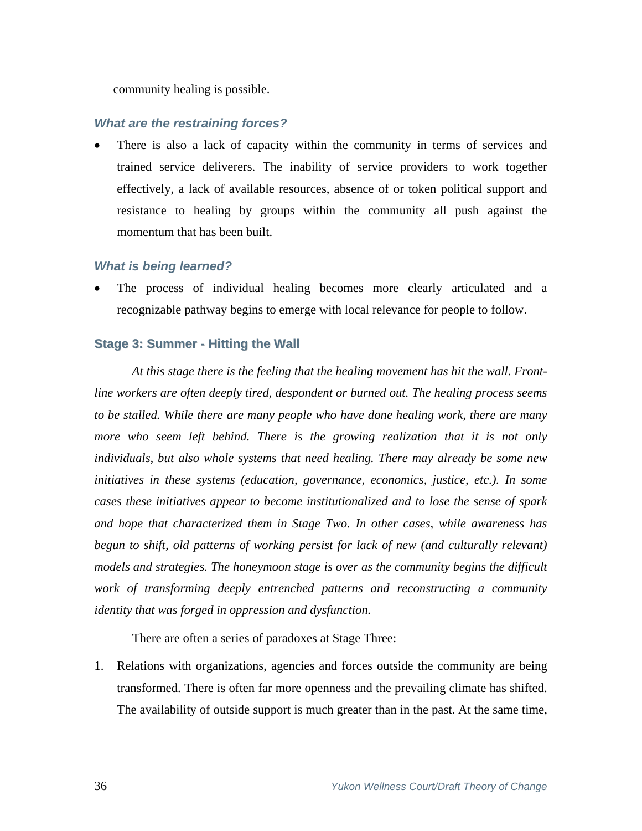community healing is possible.

### *What are the restraining forces?*

There is also a lack of capacity within the community in terms of services and trained service deliverers. The inability of service providers to work together effectively, a lack of available resources, absence of or token political support and resistance to healing by groups within the community all push against the momentum that has been built.

#### *What is being learned?*

The process of individual healing becomes more clearly articulated and a recognizable pathway begins to emerge with local relevance for people to follow.

#### **Stage 3: Summer - Hitting the Wall**

*At this stage there is the feeling that the healing movement has hit the wall. Frontline workers are often deeply tired, despondent or burned out. The healing process seems to be stalled. While there are many people who have done healing work, there are many*  more who seem left behind. There is the growing realization that it is not only *individuals, but also whole systems that need healing. There may already be some new initiatives in these systems (education, governance, economics, justice, etc.). In some cases these initiatives appear to become institutionalized and to lose the sense of spark and hope that characterized them in Stage Two. In other cases, while awareness has begun to shift, old patterns of working persist for lack of new (and culturally relevant) models and strategies. The honeymoon stage is over as the community begins the difficult work of transforming deeply entrenched patterns and reconstructing a community identity that was forged in oppression and dysfunction.*

There are often a series of paradoxes at Stage Three:

1. Relations with organizations, agencies and forces outside the community are being transformed. There is often far more openness and the prevailing climate has shifted. The availability of outside support is much greater than in the past. At the same time,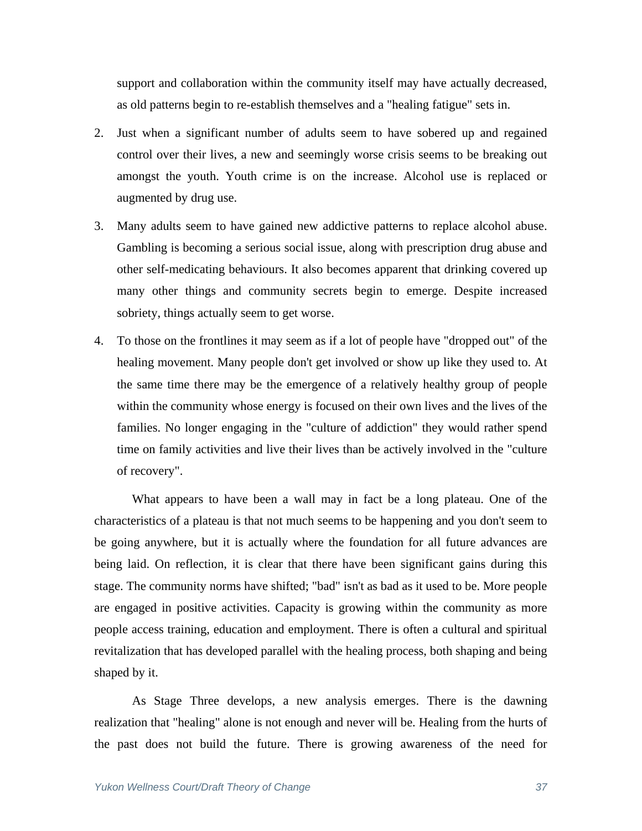support and collaboration within the community itself may have actually decreased, as old patterns begin to re-establish themselves and a "healing fatigue" sets in.

- 2. Just when a significant number of adults seem to have sobered up and regained control over their lives, a new and seemingly worse crisis seems to be breaking out amongst the youth. Youth crime is on the increase. Alcohol use is replaced or augmented by drug use.
- 3. Many adults seem to have gained new addictive patterns to replace alcohol abuse. Gambling is becoming a serious social issue, along with prescription drug abuse and other self-medicating behaviours. It also becomes apparent that drinking covered up many other things and community secrets begin to emerge. Despite increased sobriety, things actually seem to get worse.
- 4. To those on the frontlines it may seem as if a lot of people have "dropped out" of the healing movement. Many people don't get involved or show up like they used to. At the same time there may be the emergence of a relatively healthy group of people within the community whose energy is focused on their own lives and the lives of the families. No longer engaging in the "culture of addiction" they would rather spend time on family activities and live their lives than be actively involved in the "culture of recovery".

 What appears to have been a wall may in fact be a long plateau. One of the characteristics of a plateau is that not much seems to be happening and you don't seem to be going anywhere, but it is actually where the foundation for all future advances are being laid. On reflection, it is clear that there have been significant gains during this stage. The community norms have shifted; "bad" isn't as bad as it used to be. More people are engaged in positive activities. Capacity is growing within the community as more people access training, education and employment. There is often a cultural and spiritual revitalization that has developed parallel with the healing process, both shaping and being shaped by it.

 As Stage Three develops, a new analysis emerges. There is the dawning realization that "healing" alone is not enough and never will be. Healing from the hurts of the past does not build the future. There is growing awareness of the need for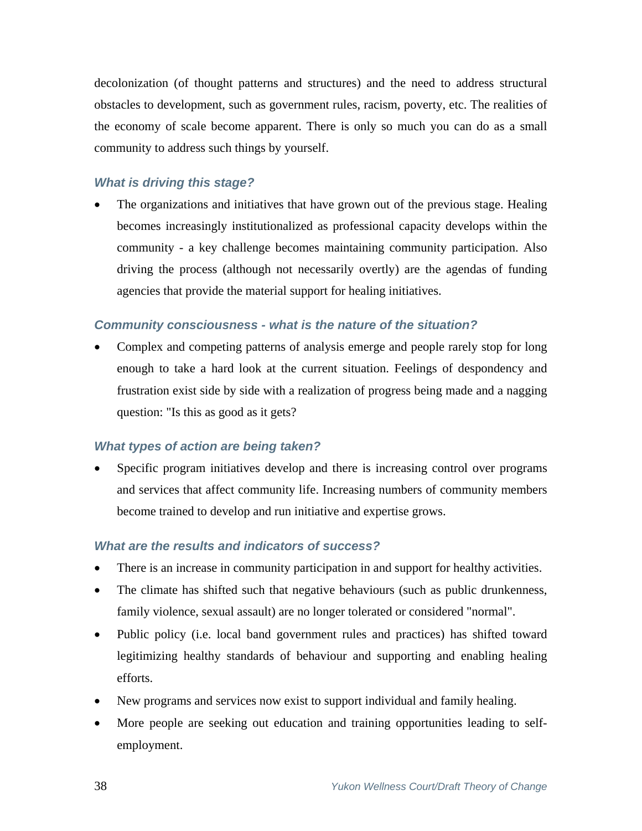decolonization (of thought patterns and structures) and the need to address structural obstacles to development, such as government rules, racism, poverty, etc. The realities of the economy of scale become apparent. There is only so much you can do as a small community to address such things by yourself.

## *What is driving this stage?*

The organizations and initiatives that have grown out of the previous stage. Healing becomes increasingly institutionalized as professional capacity develops within the community - a key challenge becomes maintaining community participation. Also driving the process (although not necessarily overtly) are the agendas of funding agencies that provide the material support for healing initiatives.

## *Community consciousness - what is the nature of the situation?*

• Complex and competing patterns of analysis emerge and people rarely stop for long enough to take a hard look at the current situation. Feelings of despondency and frustration exist side by side with a realization of progress being made and a nagging question: "Is this as good as it gets?

#### *What types of action are being taken?*

• Specific program initiatives develop and there is increasing control over programs and services that affect community life. Increasing numbers of community members become trained to develop and run initiative and expertise grows.

#### *What are the results and indicators of success?*

- There is an increase in community participation in and support for healthy activities.
- The climate has shifted such that negative behaviours (such as public drunkenness, family violence, sexual assault) are no longer tolerated or considered "normal".
- Public policy (i.e. local band government rules and practices) has shifted toward legitimizing healthy standards of behaviour and supporting and enabling healing efforts.
- New programs and services now exist to support individual and family healing.
- More people are seeking out education and training opportunities leading to selfemployment.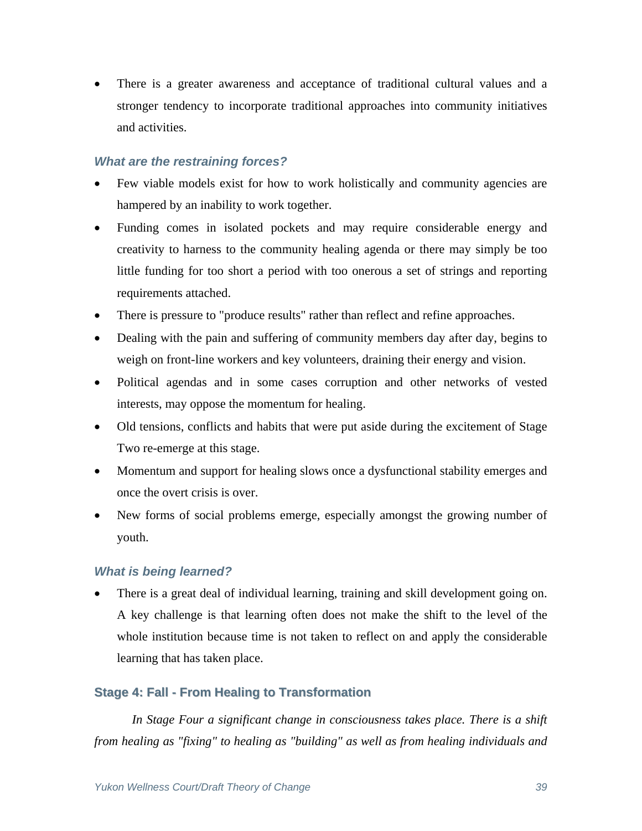• There is a greater awareness and acceptance of traditional cultural values and a stronger tendency to incorporate traditional approaches into community initiatives and activities.

## *What are the restraining forces?*

- Few viable models exist for how to work holistically and community agencies are hampered by an inability to work together.
- Funding comes in isolated pockets and may require considerable energy and creativity to harness to the community healing agenda or there may simply be too little funding for too short a period with too onerous a set of strings and reporting requirements attached.
- There is pressure to "produce results" rather than reflect and refine approaches.
- Dealing with the pain and suffering of community members day after day, begins to weigh on front-line workers and key volunteers, draining their energy and vision.
- Political agendas and in some cases corruption and other networks of vested interests, may oppose the momentum for healing.
- Old tensions, conflicts and habits that were put aside during the excitement of Stage Two re-emerge at this stage.
- Momentum and support for healing slows once a dysfunctional stability emerges and once the overt crisis is over.
- New forms of social problems emerge, especially amongst the growing number of youth.

#### *What is being learned?*

• There is a great deal of individual learning, training and skill development going on. A key challenge is that learning often does not make the shift to the level of the whole institution because time is not taken to reflect on and apply the considerable learning that has taken place.

#### **Stage 4: Fall - From Healing to Transformation**

*In Stage Four a significant change in consciousness takes place. There is a shift from healing as "fixing" to healing as "building" as well as from healing individuals and*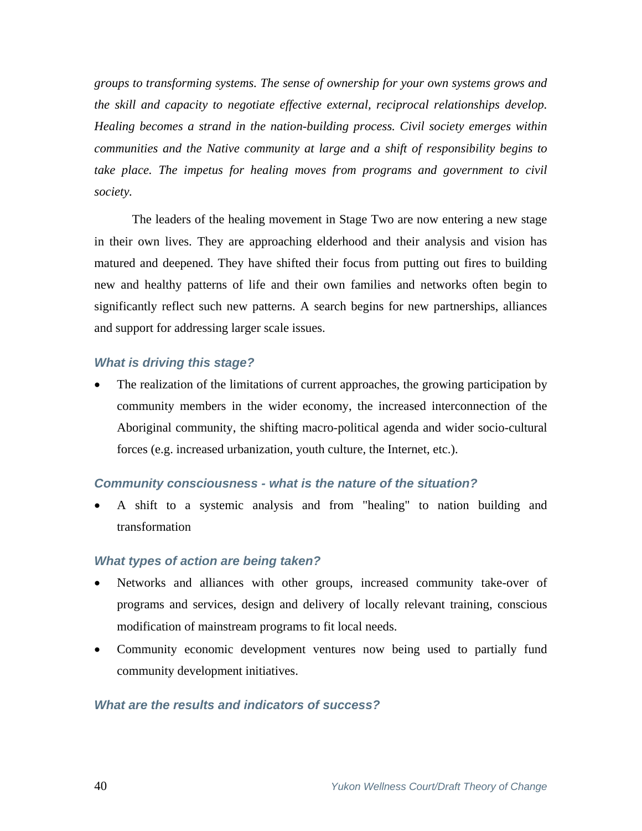*groups to transforming systems. The sense of ownership for your own systems grows and the skill and capacity to negotiate effective external, reciprocal relationships develop. Healing becomes a strand in the nation-building process. Civil society emerges within communities and the Native community at large and a shift of responsibility begins to*  take place. The impetus for healing moves from programs and government to civil *society.* 

 The leaders of the healing movement in Stage Two are now entering a new stage in their own lives. They are approaching elderhood and their analysis and vision has matured and deepened. They have shifted their focus from putting out fires to building new and healthy patterns of life and their own families and networks often begin to significantly reflect such new patterns. A search begins for new partnerships, alliances and support for addressing larger scale issues.

#### *What is driving this stage?*

The realization of the limitations of current approaches, the growing participation by community members in the wider economy, the increased interconnection of the Aboriginal community, the shifting macro-political agenda and wider socio-cultural forces (e.g. increased urbanization, youth culture, the Internet, etc.).

#### *Community consciousness - what is the nature of the situation?*

• A shift to a systemic analysis and from "healing" to nation building and transformation

#### *What types of action are being taken?*

- Networks and alliances with other groups, increased community take-over of programs and services, design and delivery of locally relevant training, conscious modification of mainstream programs to fit local needs.
- Community economic development ventures now being used to partially fund community development initiatives.

#### *What are the results and indicators of success?*